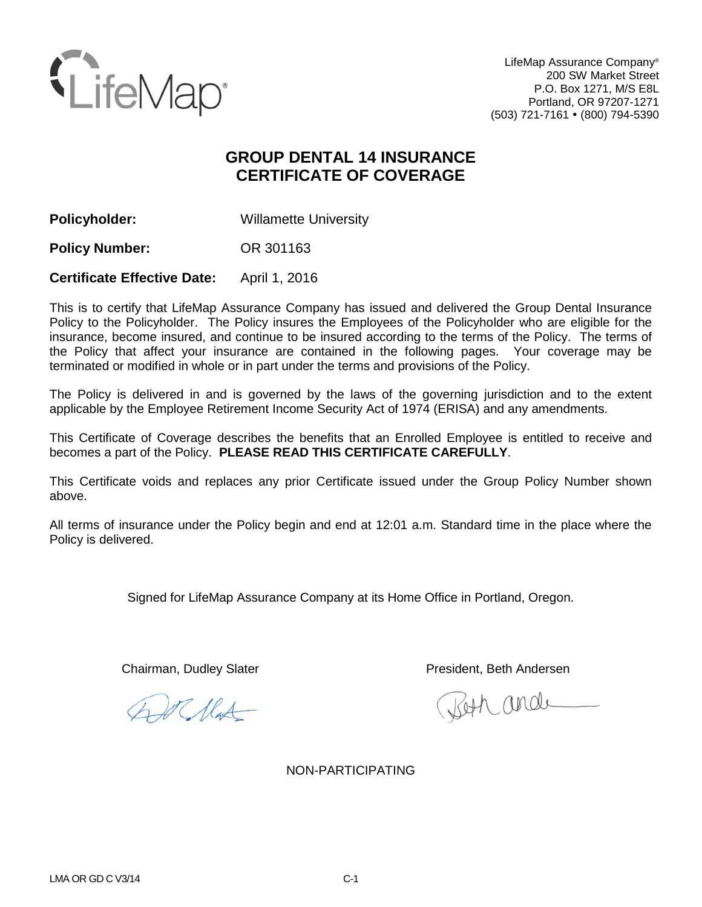

LifeMap Assurance Company® 200 SW Market Street P.O. Box 1271, M/S E8L Portland, OR 97207-1271 (503) 721-7161 (800) 794-5390

# **GROUP DENTAL 14 INSURANCE CERTIFICATE OF COVERAGE**

**Policyholder:** Willamette University

**Policy Number:** OR 301163

**Certificate Effective Date:** April 1, 2016

This is to certify that LifeMap Assurance Company has issued and delivered the Group Dental Insurance Policy to the Policyholder. The Policy insures the Employees of the Policyholder who are eligible for the insurance, become insured, and continue to be insured according to the terms of the Policy. The terms of the Policy that affect your insurance are contained in the following pages. Your coverage may be terminated or modified in whole or in part under the terms and provisions of the Policy.

The Policy is delivered in and is governed by the laws of the governing jurisdiction and to the extent applicable by the Employee Retirement Income Security Act of 1974 (ERISA) and any amendments.

This Certificate of Coverage describes the benefits that an Enrolled Employee is entitled to receive and becomes a part of the Policy. **PLEASE READ THIS CERTIFICATE CAREFULLY**.

This Certificate voids and replaces any prior Certificate issued under the Group Policy Number shown above.

All terms of insurance under the Policy begin and end at 12:01 a.m. Standard time in the place where the Policy is delivered.

Signed for LifeMap Assurance Company at its Home Office in Portland, Oregon.

St Mat

Chairman, Dudley Slater **President, Beth Andersen** 

Both and

NON-PARTICIPATING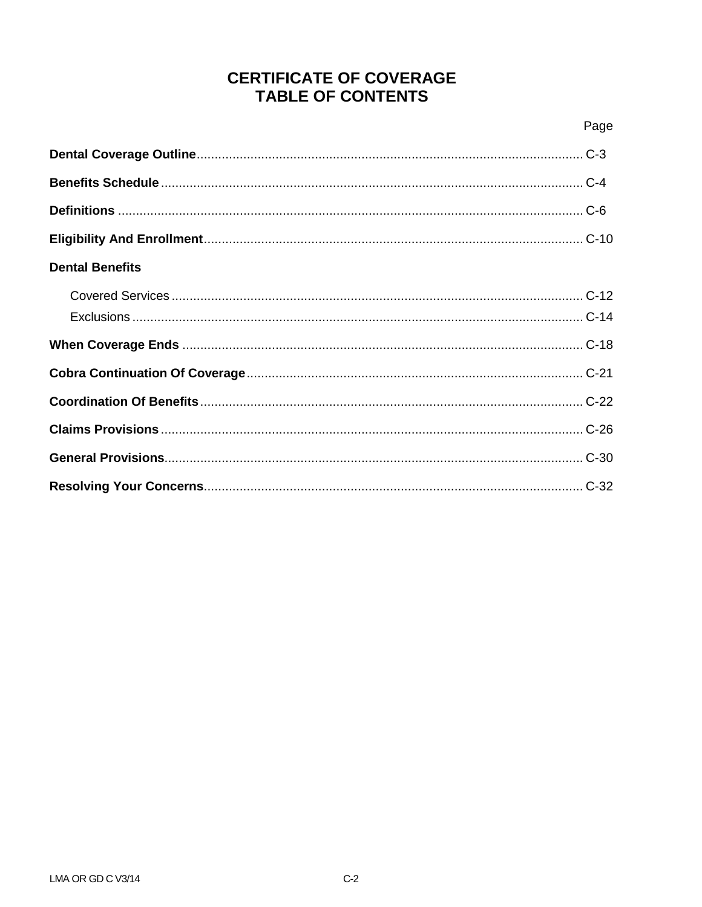# **CERTIFICATE OF COVERAGE TABLE OF CONTENTS**

| <b>Dental Benefits</b> |  |
|------------------------|--|
|                        |  |
|                        |  |
|                        |  |
|                        |  |
|                        |  |
|                        |  |
|                        |  |
|                        |  |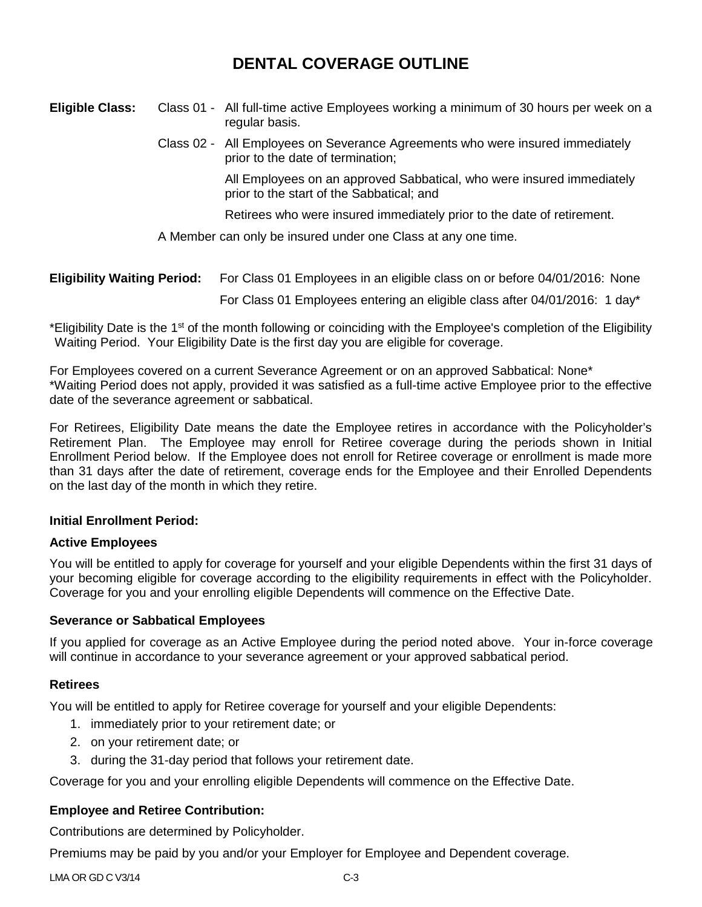# **DENTAL COVERAGE OUTLINE**

## **Eligible Class:** Class 01 - All full-time active Employees working a minimum of 30 hours per week on a regular basis. Class 02 - All Employees on Severance Agreements who were insured immediately prior to the date of termination; All Employees on an approved Sabbatical, who were insured immediately prior to the start of the Sabbatical; and

Retirees who were insured immediately prior to the date of retirement.

A Member can only be insured under one Class at any one time.

| <b>Eligibility Waiting Period:</b> | For Class 01 Employees in an eligible class on or before 04/01/2016: None  |
|------------------------------------|----------------------------------------------------------------------------|
|                                    | For Class 01 Employees entering an eligible class after 04/01/2016: 1 day* |

\*Eligibility Date is the 1<sup>st</sup> of the month following or coinciding with the Employee's completion of the Eligibility Waiting Period. Your Eligibility Date is the first day you are eligible for coverage.

For Employees covered on a current Severance Agreement or on an approved Sabbatical: None\* \*Waiting Period does not apply, provided it was satisfied as a full-time active Employee prior to the effective date of the severance agreement or sabbatical.

For Retirees, Eligibility Date means the date the Employee retires in accordance with the Policyholder's Retirement Plan. The Employee may enroll for Retiree coverage during the periods shown in Initial Enrollment Period below. If the Employee does not enroll for Retiree coverage or enrollment is made more than 31 days after the date of retirement, coverage ends for the Employee and their Enrolled Dependents on the last day of the month in which they retire.

## **Initial Enrollment Period:**

## **Active Employees**

You will be entitled to apply for coverage for yourself and your eligible Dependents within the first 31 days of your becoming eligible for coverage according to the eligibility requirements in effect with the Policyholder. Coverage for you and your enrolling eligible Dependents will commence on the Effective Date.

## **Severance or Sabbatical Employees**

If you applied for coverage as an Active Employee during the period noted above. Your in-force coverage will continue in accordance to your severance agreement or your approved sabbatical period.

## **Retirees**

You will be entitled to apply for Retiree coverage for yourself and your eligible Dependents:

- 1. immediately prior to your retirement date; or
- 2. on your retirement date; or
- 3. during the 31-day period that follows your retirement date.

Coverage for you and your enrolling eligible Dependents will commence on the Effective Date.

## **Employee and Retiree Contribution:**

Contributions are determined by Policyholder.

Premiums may be paid by you and/or your Employer for Employee and Dependent coverage.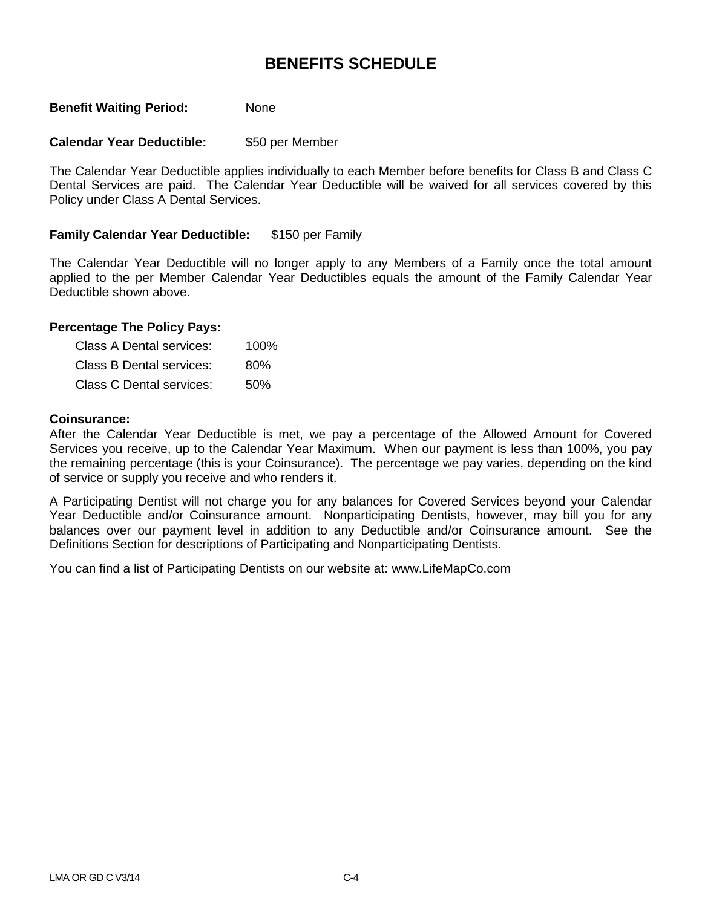## **BENEFITS SCHEDULE**

### **Benefit Waiting Period:** None

### **Calendar Year Deductible:** \$50 per Member

The Calendar Year Deductible applies individually to each Member before benefits for Class B and Class C Dental Services are paid. The Calendar Year Deductible will be waived for all services covered by this Policy under Class A Dental Services.

### **Family Calendar Year Deductible:** \$150 per Family

The Calendar Year Deductible will no longer apply to any Members of a Family once the total amount applied to the per Member Calendar Year Deductibles equals the amount of the Family Calendar Year Deductible shown above.

### **Percentage The Policy Pays:**

| Class A Dental services: | 100% |
|--------------------------|------|
| Class B Dental services: | 80%  |
| Class C Dental services: | 50%  |

#### **Coinsurance:**

After the Calendar Year Deductible is met, we pay a percentage of the Allowed Amount for Covered Services you receive, up to the Calendar Year Maximum. When our payment is less than 100%, you pay the remaining percentage (this is your Coinsurance). The percentage we pay varies, depending on the kind of service or supply you receive and who renders it.

A Participating Dentist will not charge you for any balances for Covered Services beyond your Calendar Year Deductible and/or Coinsurance amount. Nonparticipating Dentists, however, may bill you for any balances over our payment level in addition to any Deductible and/or Coinsurance amount. See the Definitions Section for descriptions of Participating and Nonparticipating Dentists.

You can find a list of Participating Dentists on our website at: www.LifeMapCo.com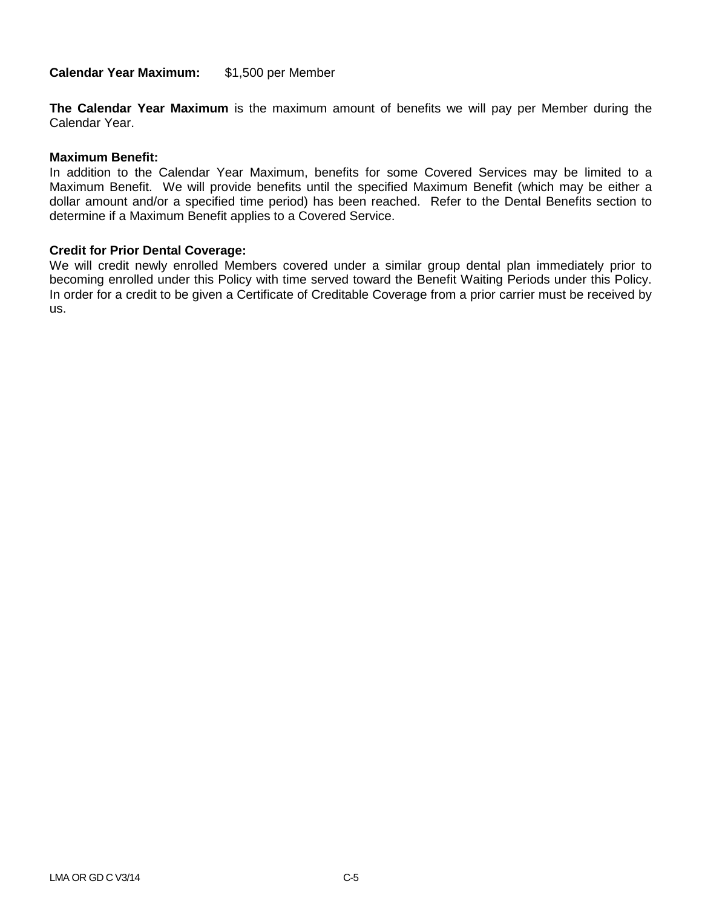**Calendar Year Maximum:** \$1,500 per Member

**The Calendar Year Maximum** is the maximum amount of benefits we will pay per Member during the Calendar Year.

### **Maximum Benefit:**

In addition to the Calendar Year Maximum, benefits for some Covered Services may be limited to a Maximum Benefit. We will provide benefits until the specified Maximum Benefit (which may be either a dollar amount and/or a specified time period) has been reached. Refer to the Dental Benefits section to determine if a Maximum Benefit applies to a Covered Service.

#### **Credit for Prior Dental Coverage:**

We will credit newly enrolled Members covered under a similar group dental plan immediately prior to becoming enrolled under this Policy with time served toward the Benefit Waiting Periods under this Policy. In order for a credit to be given a Certificate of Creditable Coverage from a prior carrier must be received by us.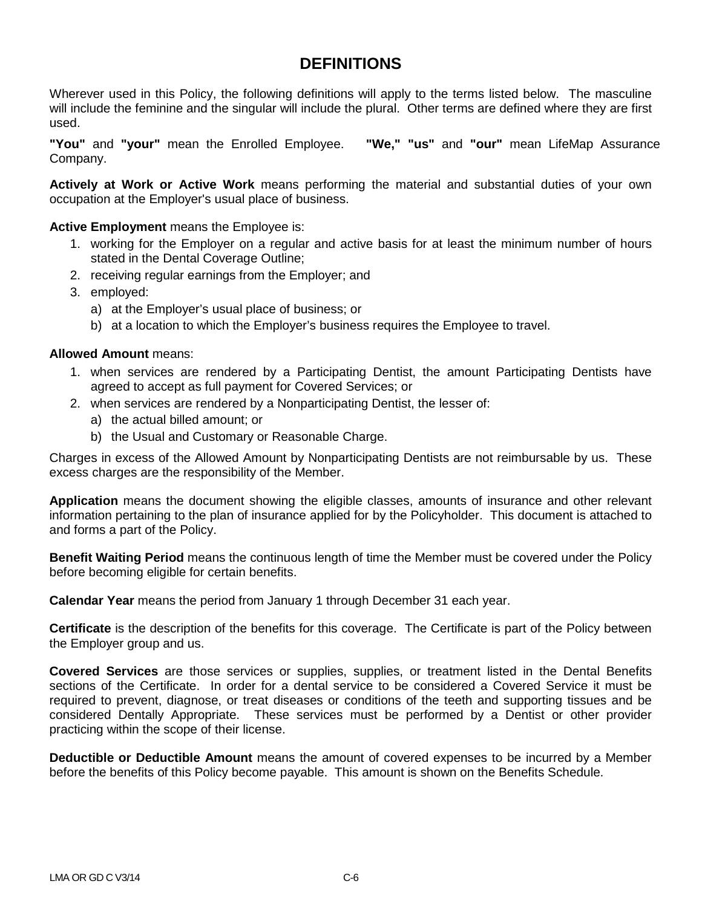## **DEFINITIONS**

Wherever used in this Policy, the following definitions will apply to the terms listed below. The masculine will include the feminine and the singular will include the plural. Other terms are defined where they are first used.

**"You"** and **"your"** mean the Enrolled Employee. **"We," "us"** and **"our"** mean LifeMap Assurance Company.

**Actively at Work or Active Work** means performing the material and substantial duties of your own occupation at the Employer's usual place of business.

**Active Employment** means the Employee is:

- 1. working for the Employer on a regular and active basis for at least the minimum number of hours stated in the Dental Coverage Outline;
- 2. receiving regular earnings from the Employer; and
- 3. employed:
	- a) at the Employer's usual place of business; or
	- b) at a location to which the Employer's business requires the Employee to travel.

### **Allowed Amount** means:

- 1. when services are rendered by a Participating Dentist, the amount Participating Dentists have agreed to accept as full payment for Covered Services; or
- 2. when services are rendered by a Nonparticipating Dentist, the lesser of:
	- a) the actual billed amount; or
	- b) the Usual and Customary or Reasonable Charge.

Charges in excess of the Allowed Amount by Nonparticipating Dentists are not reimbursable by us. These excess charges are the responsibility of the Member.

**Application** means the document showing the eligible classes, amounts of insurance and other relevant information pertaining to the plan of insurance applied for by the Policyholder. This document is attached to and forms a part of the Policy.

**Benefit Waiting Period** means the continuous length of time the Member must be covered under the Policy before becoming eligible for certain benefits.

**Calendar Year** means the period from January 1 through December 31 each year.

**Certificate** is the description of the benefits for this coverage. The Certificate is part of the Policy between the Employer group and us.

**Covered Services** are those services or supplies, supplies, or treatment listed in the Dental Benefits sections of the Certificate. In order for a dental service to be considered a Covered Service it must be required to prevent, diagnose, or treat diseases or conditions of the teeth and supporting tissues and be considered Dentally Appropriate. These services must be performed by a Dentist or other provider practicing within the scope of their license.

**Deductible or Deductible Amount** means the amount of covered expenses to be incurred by a Member before the benefits of this Policy become payable. This amount is shown on the Benefits Schedule.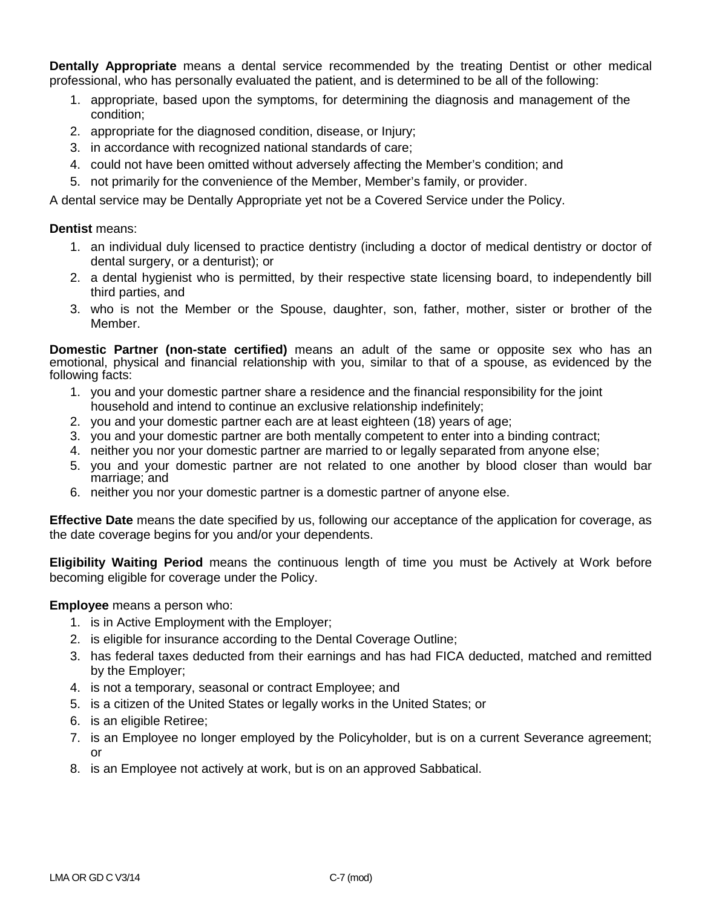**Dentally Appropriate** means a dental service recommended by the treating Dentist or other medical professional, who has personally evaluated the patient, and is determined to be all of the following:

- 1. appropriate, based upon the symptoms, for determining the diagnosis and management of the condition;
- 2. appropriate for the diagnosed condition, disease, or Injury;
- 3. in accordance with recognized national standards of care;
- 4. could not have been omitted without adversely affecting the Member's condition; and
- 5. not primarily for the convenience of the Member, Member's family, or provider.

A dental service may be Dentally Appropriate yet not be a Covered Service under the Policy.

### **Dentist** means:

- 1. an individual duly licensed to practice dentistry (including a doctor of medical dentistry or doctor of dental surgery, or a denturist); or
- 2. a dental hygienist who is permitted, by their respective state licensing board, to independently bill third parties, and
- 3. who is not the Member or the Spouse, daughter, son, father, mother, sister or brother of the Member.

**Domestic Partner (non-state certified)** means an adult of the same or opposite sex who has an emotional, physical and financial relationship with you, similar to that of a spouse, as evidenced by the following facts:

- 1. you and your domestic partner share a residence and the financial responsibility for the joint household and intend to continue an exclusive relationship indefinitely;
- 2. you and your domestic partner each are at least eighteen (18) years of age;
- 3. you and your domestic partner are both mentally competent to enter into a binding contract;
- 4. neither you nor your domestic partner are married to or legally separated from anyone else;
- 5. you and your domestic partner are not related to one another by blood closer than would bar marriage; and
- 6. neither you nor your domestic partner is a domestic partner of anyone else.

**Effective Date** means the date specified by us, following our acceptance of the application for coverage, as the date coverage begins for you and/or your dependents.

**Eligibility Waiting Period** means the continuous length of time you must be Actively at Work before becoming eligible for coverage under the Policy.

**Employee** means a person who:

- 1. is in Active Employment with the Employer;
- 2. is eligible for insurance according to the Dental Coverage Outline;
- 3. has federal taxes deducted from their earnings and has had FICA deducted, matched and remitted by the Employer;
- 4. is not a temporary, seasonal or contract Employee; and
- 5. is a citizen of the United States or legally works in the United States; or
- 6. is an eligible Retiree;
- 7. is an Employee no longer employed by the Policyholder, but is on a current Severance agreement; or
- 8. is an Employee not actively at work, but is on an approved Sabbatical.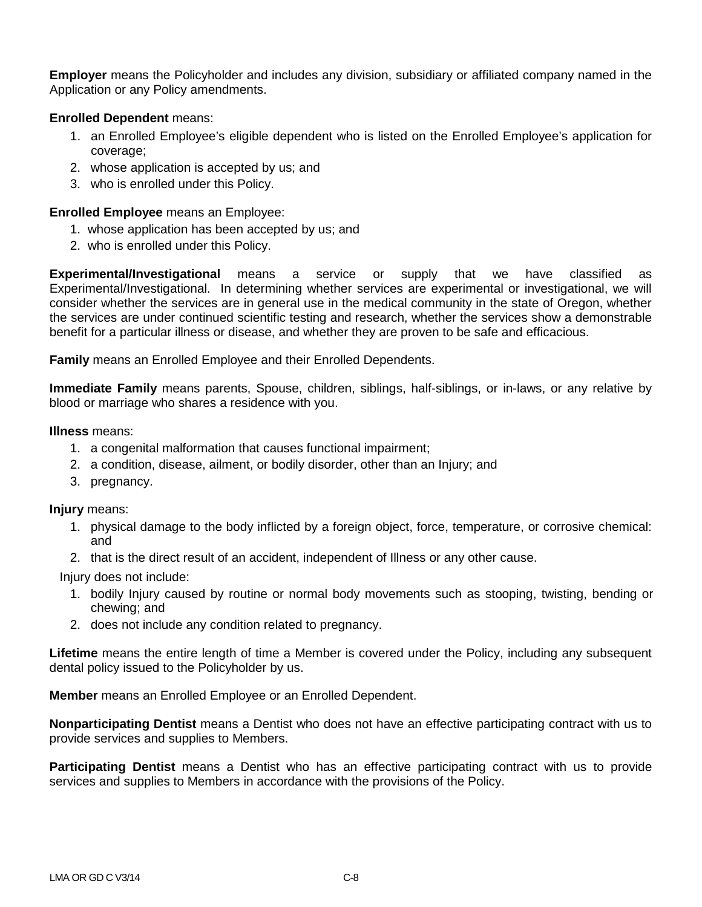**Employer** means the Policyholder and includes any division, subsidiary or affiliated company named in the Application or any Policy amendments.

### **Enrolled Dependent** means:

- 1. an Enrolled Employee's eligible dependent who is listed on the Enrolled Employee's application for coverage;
- 2. whose application is accepted by us; and
- 3. who is enrolled under this Policy.

## **Enrolled Employee** means an Employee:

- 1. whose application has been accepted by us; and
- 2. who is enrolled under this Policy.

**Experimental/Investigational** means a service or supply that we have classified as Experimental/Investigational. In determining whether services are experimental or investigational, we will consider whether the services are in general use in the medical community in the state of Oregon, whether the services are under continued scientific testing and research, whether the services show a demonstrable benefit for a particular illness or disease, and whether they are proven to be safe and efficacious.

**Family** means an Enrolled Employee and their Enrolled Dependents.

**Immediate Family** means parents, Spouse, children, siblings, half-siblings, or in-laws, or any relative by blood or marriage who shares a residence with you.

### **Illness** means:

- 1. a congenital malformation that causes functional impairment;
- 2. a condition, disease, ailment, or bodily disorder, other than an Injury; and
- 3. pregnancy.

### **Injury** means:

- 1. physical damage to the body inflicted by a foreign object, force, temperature, or corrosive chemical: and
- 2. that is the direct result of an accident, independent of Illness or any other cause.

Injury does not include:

- 1. bodily Injury caused by routine or normal body movements such as stooping, twisting, bending or chewing; and
- 2. does not include any condition related to pregnancy.

**Lifetime** means the entire length of time a Member is covered under the Policy, including any subsequent dental policy issued to the Policyholder by us.

**Member** means an Enrolled Employee or an Enrolled Dependent.

**Nonparticipating Dentist** means a Dentist who does not have an effective participating contract with us to provide services and supplies to Members.

**Participating Dentist** means a Dentist who has an effective participating contract with us to provide services and supplies to Members in accordance with the provisions of the Policy.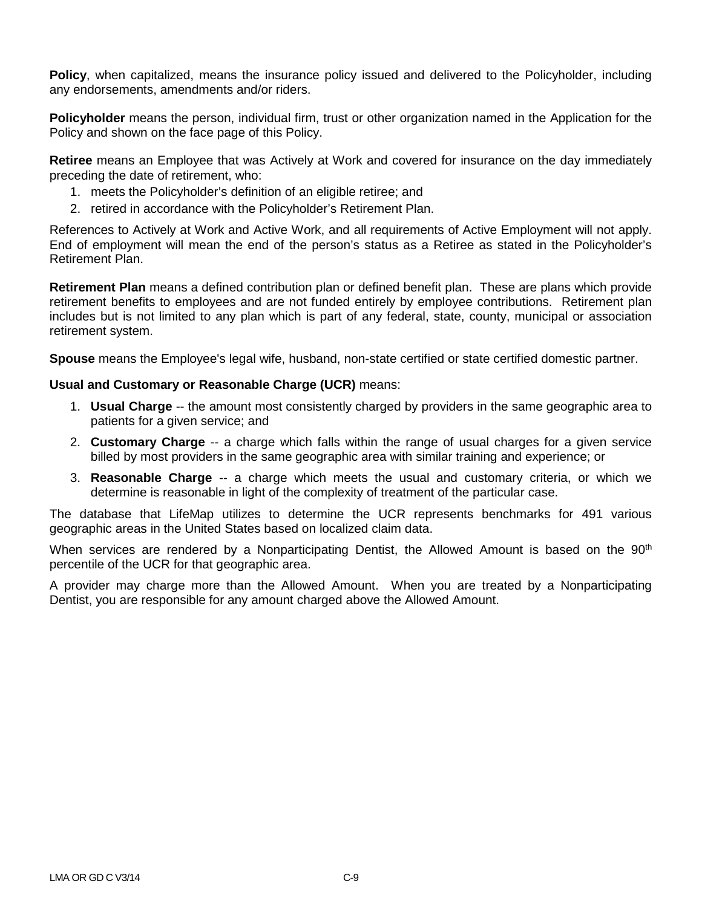**Policy**, when capitalized, means the insurance policy issued and delivered to the Policyholder, including any endorsements, amendments and/or riders.

**Policyholder** means the person, individual firm, trust or other organization named in the Application for the Policy and shown on the face page of this Policy.

**Retiree** means an Employee that was Actively at Work and covered for insurance on the day immediately preceding the date of retirement, who:

- 1. meets the Policyholder's definition of an eligible retiree; and
- 2. retired in accordance with the Policyholder's Retirement Plan.

References to Actively at Work and Active Work, and all requirements of Active Employment will not apply. End of employment will mean the end of the person's status as a Retiree as stated in the Policyholder's Retirement Plan.

**Retirement Plan** means a defined contribution plan or defined benefit plan. These are plans which provide retirement benefits to employees and are not funded entirely by employee contributions. Retirement plan includes but is not limited to any plan which is part of any federal, state, county, municipal or association retirement system.

**Spouse** means the Employee's legal wife, husband, non-state certified or state certified domestic partner.

## **Usual and Customary or Reasonable Charge (UCR)** means:

- 1. **Usual Charge** -- the amount most consistently charged by providers in the same geographic area to patients for a given service; and
- 2. **Customary Charge** -- a charge which falls within the range of usual charges for a given service billed by most providers in the same geographic area with similar training and experience; or
- 3. **Reasonable Charge** -- a charge which meets the usual and customary criteria, or which we determine is reasonable in light of the complexity of treatment of the particular case.

The database that LifeMap utilizes to determine the UCR represents benchmarks for 491 various geographic areas in the United States based on localized claim data.

When services are rendered by a Nonparticipating Dentist, the Allowed Amount is based on the 90<sup>th</sup> percentile of the UCR for that geographic area.

A provider may charge more than the Allowed Amount. When you are treated by a Nonparticipating Dentist, you are responsible for any amount charged above the Allowed Amount.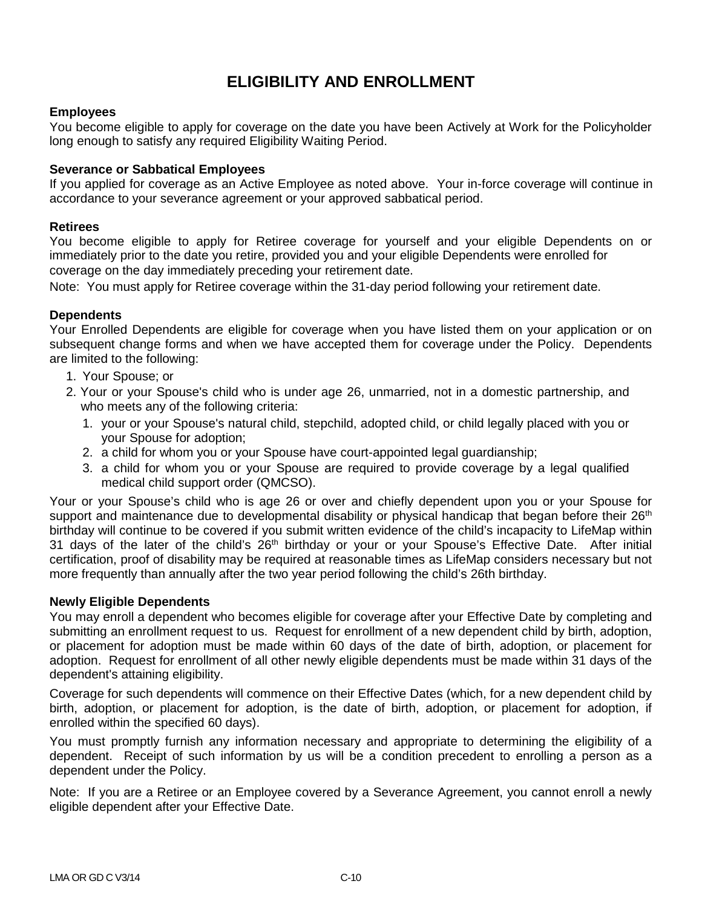# **ELIGIBILITY AND ENROLLMENT**

## **Employees**

You become eligible to apply for coverage on the date you have been Actively at Work for the Policyholder long enough to satisfy any required Eligibility Waiting Period.

### **Severance or Sabbatical Employees**

If you applied for coverage as an Active Employee as noted above. Your in-force coverage will continue in accordance to your severance agreement or your approved sabbatical period.

### **Retirees**

You become eligible to apply for Retiree coverage for yourself and your eligible Dependents on or immediately prior to the date you retire, provided you and your eligible Dependents were enrolled for coverage on the day immediately preceding your retirement date.

Note: You must apply for Retiree coverage within the 31-day period following your retirement date.

### **Dependents**

Your Enrolled Dependents are eligible for coverage when you have listed them on your application or on subsequent change forms and when we have accepted them for coverage under the Policy. Dependents are limited to the following:

- 1. Your Spouse; or
- 2. Your or your Spouse's child who is under age 26, unmarried, not in a domestic partnership, and who meets any of the following criteria:
	- 1. your or your Spouse's natural child, stepchild, adopted child, or child legally placed with you or your Spouse for adoption;
	- 2. a child for whom you or your Spouse have court-appointed legal guardianship;
	- 3. a child for whom you or your Spouse are required to provide coverage by a legal qualified medical child support order (QMCSO).

Your or your Spouse's child who is age 26 or over and chiefly dependent upon you or your Spouse for support and maintenance due to developmental disability or physical handicap that began before their  $26<sup>th</sup>$ birthday will continue to be covered if you submit written evidence of the child's incapacity to LifeMap within 31 days of the later of the child's 26<sup>th</sup> birthday or your or your Spouse's Effective Date. After initial certification, proof of disability may be required at reasonable times as LifeMap considers necessary but not more frequently than annually after the two year period following the child's 26th birthday.

### **Newly Eligible Dependents**

You may enroll a dependent who becomes eligible for coverage after your Effective Date by completing and submitting an enrollment request to us. Request for enrollment of a new dependent child by birth, adoption, or placement for adoption must be made within 60 days of the date of birth, adoption, or placement for adoption. Request for enrollment of all other newly eligible dependents must be made within 31 days of the dependent's attaining eligibility.

Coverage for such dependents will commence on their Effective Dates (which, for a new dependent child by birth, adoption, or placement for adoption, is the date of birth, adoption, or placement for adoption, if enrolled within the specified 60 days).

You must promptly furnish any information necessary and appropriate to determining the eligibility of a dependent. Receipt of such information by us will be a condition precedent to enrolling a person as a dependent under the Policy.

Note: If you are a Retiree or an Employee covered by a Severance Agreement, you cannot enroll a newly eligible dependent after your Effective Date.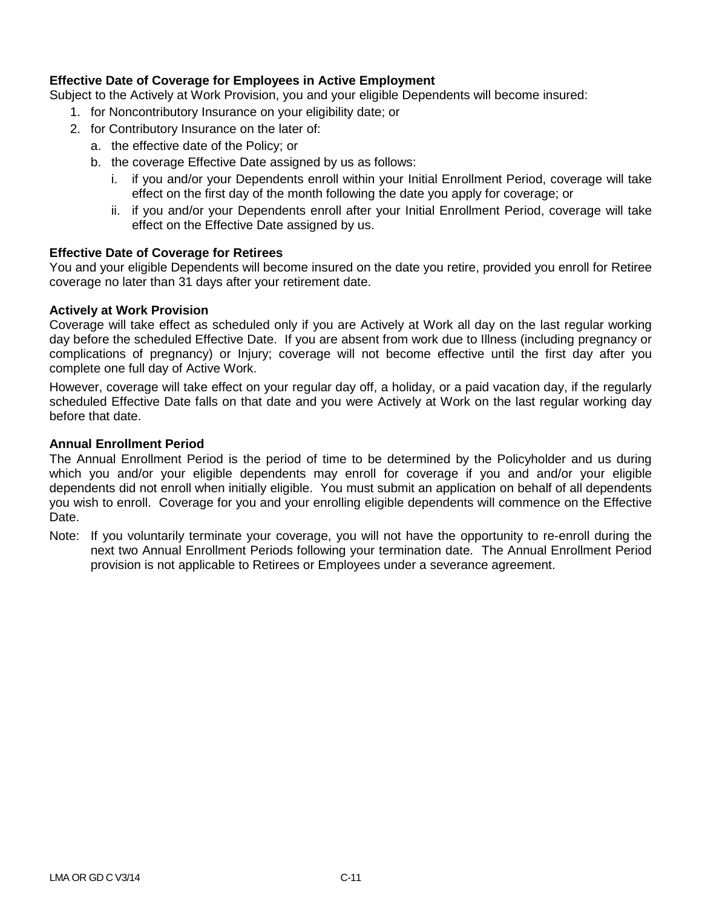## **Effective Date of Coverage for Employees in Active Employment**

Subject to the Actively at Work Provision, you and your eligible Dependents will become insured:

- 1. for Noncontributory Insurance on your eligibility date; or
- 2. for Contributory Insurance on the later of:
	- a. the effective date of the Policy; or
	- b. the coverage Effective Date assigned by us as follows:
		- i. if you and/or your Dependents enroll within your Initial Enrollment Period, coverage will take effect on the first day of the month following the date you apply for coverage; or
		- ii. if you and/or your Dependents enroll after your Initial Enrollment Period, coverage will take effect on the Effective Date assigned by us.

### **Effective Date of Coverage for Retirees**

You and your eligible Dependents will become insured on the date you retire, provided you enroll for Retiree coverage no later than 31 days after your retirement date.

### **Actively at Work Provision**

Coverage will take effect as scheduled only if you are Actively at Work all day on the last regular working day before the scheduled Effective Date. If you are absent from work due to Illness (including pregnancy or complications of pregnancy) or Injury; coverage will not become effective until the first day after you complete one full day of Active Work.

However, coverage will take effect on your regular day off, a holiday, or a paid vacation day, if the regularly scheduled Effective Date falls on that date and you were Actively at Work on the last regular working day before that date.

## **Annual Enrollment Period**

The Annual Enrollment Period is the period of time to be determined by the Policyholder and us during which you and/or your eligible dependents may enroll for coverage if you and and/or your eligible dependents did not enroll when initially eligible. You must submit an application on behalf of all dependents you wish to enroll. Coverage for you and your enrolling eligible dependents will commence on the Effective Date.

Note: If you voluntarily terminate your coverage, you will not have the opportunity to re-enroll during the next two Annual Enrollment Periods following your termination date. The Annual Enrollment Period provision is not applicable to Retirees or Employees under a severance agreement.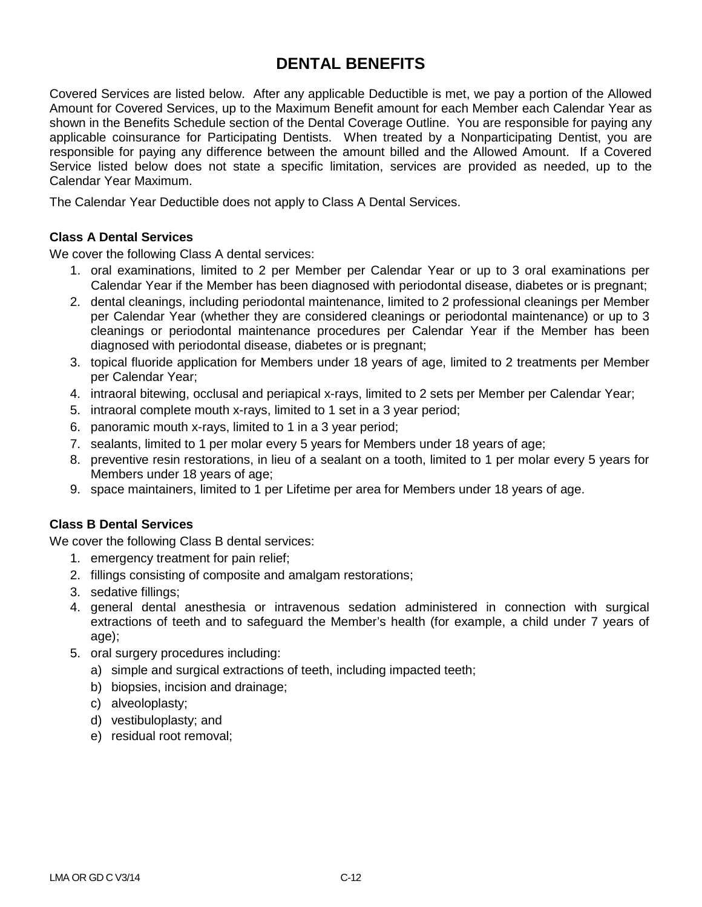# **DENTAL BENEFITS**

Covered Services are listed below. After any applicable Deductible is met, we pay a portion of the Allowed Amount for Covered Services, up to the Maximum Benefit amount for each Member each Calendar Year as shown in the Benefits Schedule section of the Dental Coverage Outline. You are responsible for paying any applicable coinsurance for Participating Dentists. When treated by a Nonparticipating Dentist, you are responsible for paying any difference between the amount billed and the Allowed Amount. If a Covered Service listed below does not state a specific limitation, services are provided as needed, up to the Calendar Year Maximum.

The Calendar Year Deductible does not apply to Class A Dental Services.

## **Class A Dental Services**

We cover the following Class A dental services:

- 1. oral examinations, limited to 2 per Member per Calendar Year or up to 3 oral examinations per Calendar Year if the Member has been diagnosed with periodontal disease, diabetes or is pregnant;
- 2. dental cleanings, including periodontal maintenance, limited to 2 professional cleanings per Member per Calendar Year (whether they are considered cleanings or periodontal maintenance) or up to 3 cleanings or periodontal maintenance procedures per Calendar Year if the Member has been diagnosed with periodontal disease, diabetes or is pregnant;
- 3. topical fluoride application for Members under 18 years of age, limited to 2 treatments per Member per Calendar Year;
- 4. intraoral bitewing, occlusal and periapical x-rays, limited to 2 sets per Member per Calendar Year;
- 5. intraoral complete mouth x-rays, limited to 1 set in a 3 year period;
- 6. panoramic mouth x-rays, limited to 1 in a 3 year period;
- 7. sealants, limited to 1 per molar every 5 years for Members under 18 years of age;
- 8. preventive resin restorations, in lieu of a sealant on a tooth, limited to 1 per molar every 5 years for Members under 18 years of age;
- 9. space maintainers, limited to 1 per Lifetime per area for Members under 18 years of age.

## **Class B Dental Services**

We cover the following Class B dental services:

- 1. emergency treatment for pain relief;
- 2. fillings consisting of composite and amalgam restorations;
- 3. sedative fillings;
- 4. general dental anesthesia or intravenous sedation administered in connection with surgical extractions of teeth and to safeguard the Member's health (for example, a child under 7 years of age);
- 5. oral surgery procedures including:
	- a) simple and surgical extractions of teeth, including impacted teeth;
	- b) biopsies, incision and drainage;
	- c) alveoloplasty;
	- d) vestibuloplasty; and
	- e) residual root removal;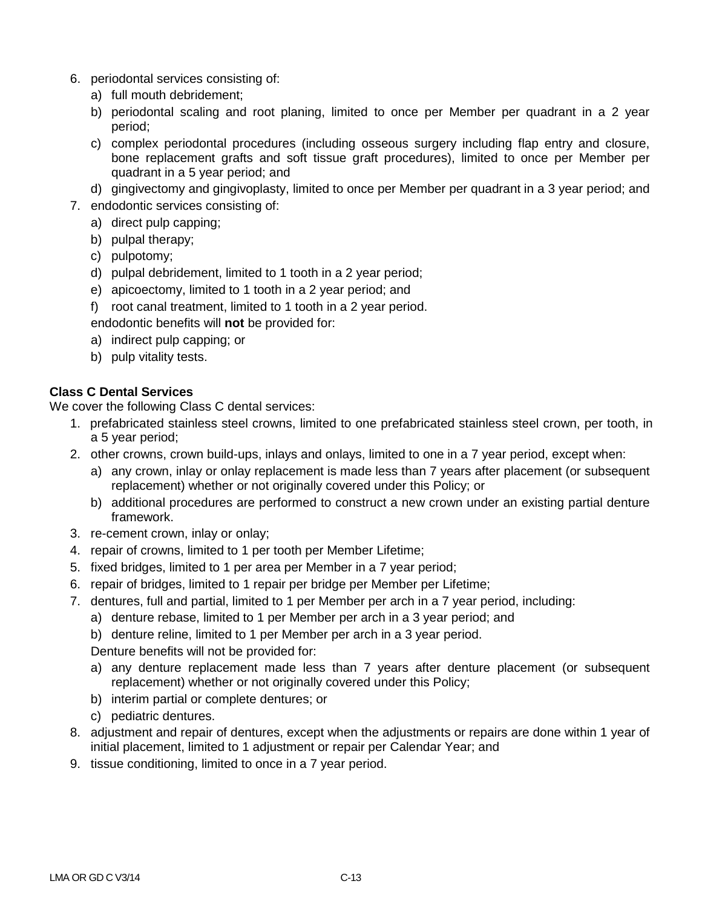- 6. periodontal services consisting of:
	- a) full mouth debridement;
	- b) periodontal scaling and root planing, limited to once per Member per quadrant in a 2 year period;
	- c) complex periodontal procedures (including osseous surgery including flap entry and closure, bone replacement grafts and soft tissue graft procedures), limited to once per Member per quadrant in a 5 year period; and
	- d) gingivectomy and gingivoplasty, limited to once per Member per quadrant in a 3 year period; and
- 7. endodontic services consisting of:
	- a) direct pulp capping;
	- b) pulpal therapy;
	- c) pulpotomy;
	- d) pulpal debridement, limited to 1 tooth in a 2 year period;
	- e) apicoectomy, limited to 1 tooth in a 2 year period; and
	- f) root canal treatment, limited to 1 tooth in a 2 year period.

endodontic benefits will **not** be provided for:

- a) indirect pulp capping; or
- b) pulp vitality tests.

## **Class C Dental Services**

We cover the following Class C dental services:

- 1. prefabricated stainless steel crowns, limited to one prefabricated stainless steel crown, per tooth, in a 5 year period;
- 2. other crowns, crown build-ups, inlays and onlays, limited to one in a 7 year period, except when:
	- a) any crown, inlay or onlay replacement is made less than 7 years after placement (or subsequent replacement) whether or not originally covered under this Policy; or
	- b) additional procedures are performed to construct a new crown under an existing partial denture framework.
- 3. re-cement crown, inlay or onlay;
- 4. repair of crowns, limited to 1 per tooth per Member Lifetime;
- 5. fixed bridges, limited to 1 per area per Member in a 7 year period;
- 6. repair of bridges, limited to 1 repair per bridge per Member per Lifetime;
- 7. dentures, full and partial, limited to 1 per Member per arch in a 7 year period, including:
	- a) denture rebase, limited to 1 per Member per arch in a 3 year period; and
	- b) denture reline, limited to 1 per Member per arch in a 3 year period.

Denture benefits will not be provided for:

- a) any denture replacement made less than 7 years after denture placement (or subsequent replacement) whether or not originally covered under this Policy;
- b) interim partial or complete dentures; or
- c) pediatric dentures.
- 8. adjustment and repair of dentures, except when the adjustments or repairs are done within 1 year of initial placement, limited to 1 adjustment or repair per Calendar Year; and
- 9. tissue conditioning, limited to once in a 7 year period.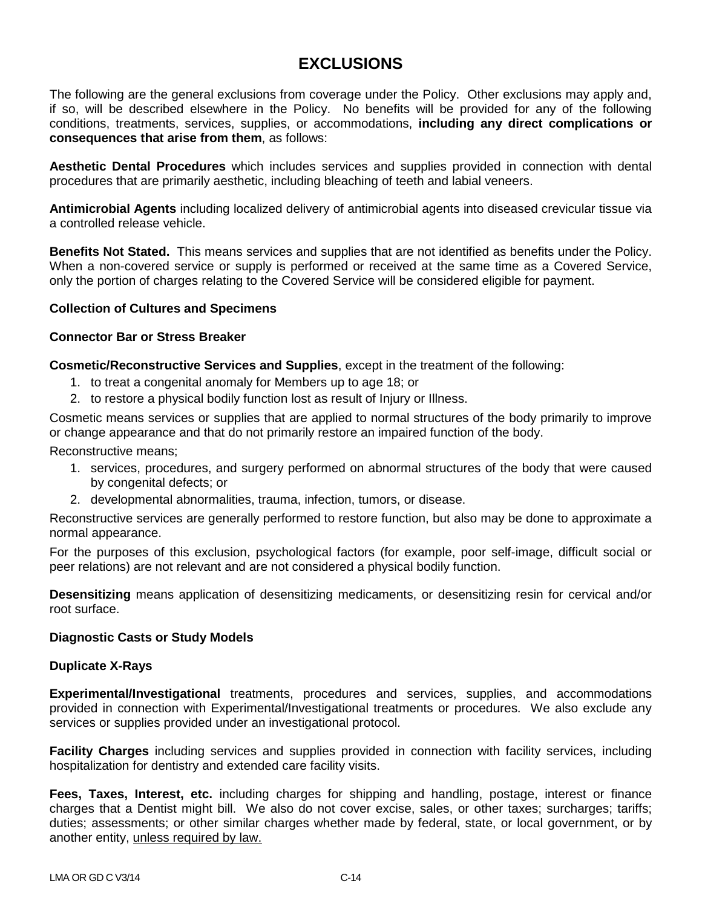# **EXCLUSIONS**

The following are the general exclusions from coverage under the Policy. Other exclusions may apply and, if so, will be described elsewhere in the Policy. No benefits will be provided for any of the following conditions, treatments, services, supplies, or accommodations, **including any direct complications or consequences that arise from them**, as follows:

**Aesthetic Dental Procedures** which includes services and supplies provided in connection with dental procedures that are primarily aesthetic, including bleaching of teeth and labial veneers.

**Antimicrobial Agents** including localized delivery of antimicrobial agents into diseased crevicular tissue via a controlled release vehicle.

**Benefits Not Stated.** This means services and supplies that are not identified as benefits under the Policy. When a non-covered service or supply is performed or received at the same time as a Covered Service, only the portion of charges relating to the Covered Service will be considered eligible for payment.

### **Collection of Cultures and Specimens**

### **Connector Bar or Stress Breaker**

**Cosmetic/Reconstructive Services and Supplies**, except in the treatment of the following:

- 1. to treat a congenital anomaly for Members up to age 18; or
- 2. to restore a physical bodily function lost as result of Injury or Illness.

Cosmetic means services or supplies that are applied to normal structures of the body primarily to improve or change appearance and that do not primarily restore an impaired function of the body.

Reconstructive means;

- 1. services, procedures, and surgery performed on abnormal structures of the body that were caused by congenital defects; or
- 2. developmental abnormalities, trauma, infection, tumors, or disease.

Reconstructive services are generally performed to restore function, but also may be done to approximate a normal appearance.

For the purposes of this exclusion, psychological factors (for example, poor self-image, difficult social or peer relations) are not relevant and are not considered a physical bodily function.

**Desensitizing** means application of desensitizing medicaments, or desensitizing resin for cervical and/or root surface.

### **Diagnostic Casts or Study Models**

### **Duplicate X-Rays**

**Experimental/Investigational** treatments, procedures and services, supplies, and accommodations provided in connection with Experimental/Investigational treatments or procedures. We also exclude any services or supplies provided under an investigational protocol.

**Facility Charges** including services and supplies provided in connection with facility services, including hospitalization for dentistry and extended care facility visits.

**Fees, Taxes, Interest, etc.** including charges for shipping and handling, postage, interest or finance charges that a Dentist might bill. We also do not cover excise, sales, or other taxes; surcharges; tariffs; duties; assessments; or other similar charges whether made by federal, state, or local government, or by another entity, unless required by law.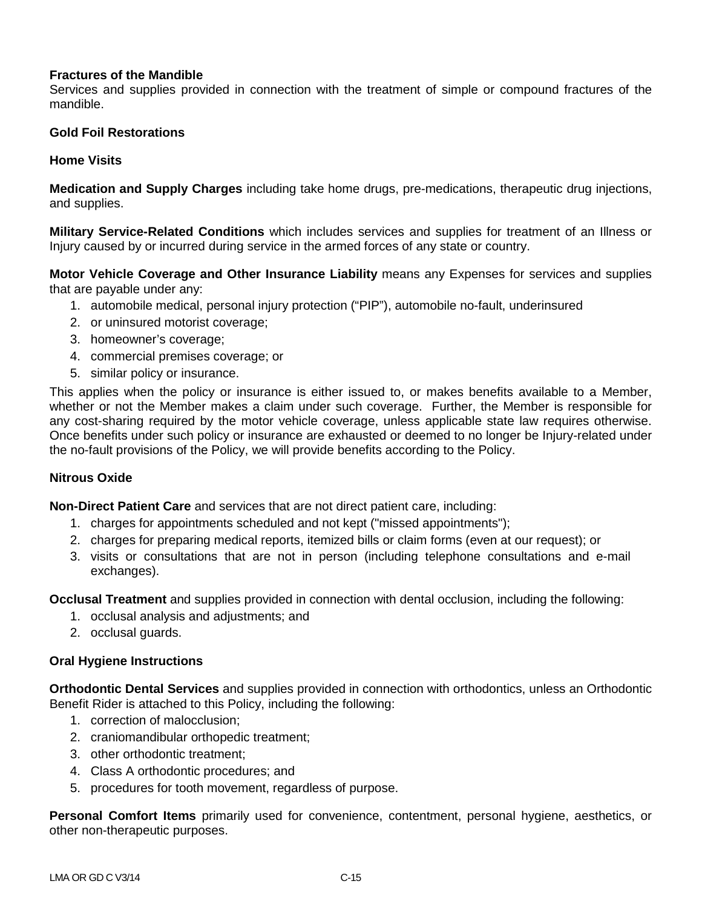## **Fractures of the Mandible**

Services and supplies provided in connection with the treatment of simple or compound fractures of the mandible.

## **Gold Foil Restorations**

### **Home Visits**

**Medication and Supply Charges** including take home drugs, pre-medications, therapeutic drug injections, and supplies.

**Military Service-Related Conditions** which includes services and supplies for treatment of an Illness or Injury caused by or incurred during service in the armed forces of any state or country.

**Motor Vehicle Coverage and Other Insurance Liability** means any Expenses for services and supplies that are payable under any:

- 1. automobile medical, personal injury protection ("PIP"), automobile no-fault, underinsured
- 2. or uninsured motorist coverage;
- 3. homeowner's coverage;
- 4. commercial premises coverage; or
- 5. similar policy or insurance.

This applies when the policy or insurance is either issued to, or makes benefits available to a Member, whether or not the Member makes a claim under such coverage. Further, the Member is responsible for any cost-sharing required by the motor vehicle coverage, unless applicable state law requires otherwise. Once benefits under such policy or insurance are exhausted or deemed to no longer be Injury-related under the no-fault provisions of the Policy, we will provide benefits according to the Policy.

## **Nitrous Oxide**

**Non-Direct Patient Care** and services that are not direct patient care, including:

- 1. charges for appointments scheduled and not kept ("missed appointments");
- 2. charges for preparing medical reports, itemized bills or claim forms (even at our request); or
- 3. visits or consultations that are not in person (including telephone consultations and e-mail exchanges).

**Occlusal Treatment** and supplies provided in connection with dental occlusion, including the following:

- 1. occlusal analysis and adjustments; and
- 2. occlusal guards.

## **Oral Hygiene Instructions**

**Orthodontic Dental Services** and supplies provided in connection with orthodontics, unless an Orthodontic Benefit Rider is attached to this Policy, including the following:

- 1. correction of malocclusion;
- 2. craniomandibular orthopedic treatment;
- 3. other orthodontic treatment;
- 4. Class A orthodontic procedures; and
- 5. procedures for tooth movement, regardless of purpose.

**Personal Comfort Items** primarily used for convenience, contentment, personal hygiene, aesthetics, or other non-therapeutic purposes.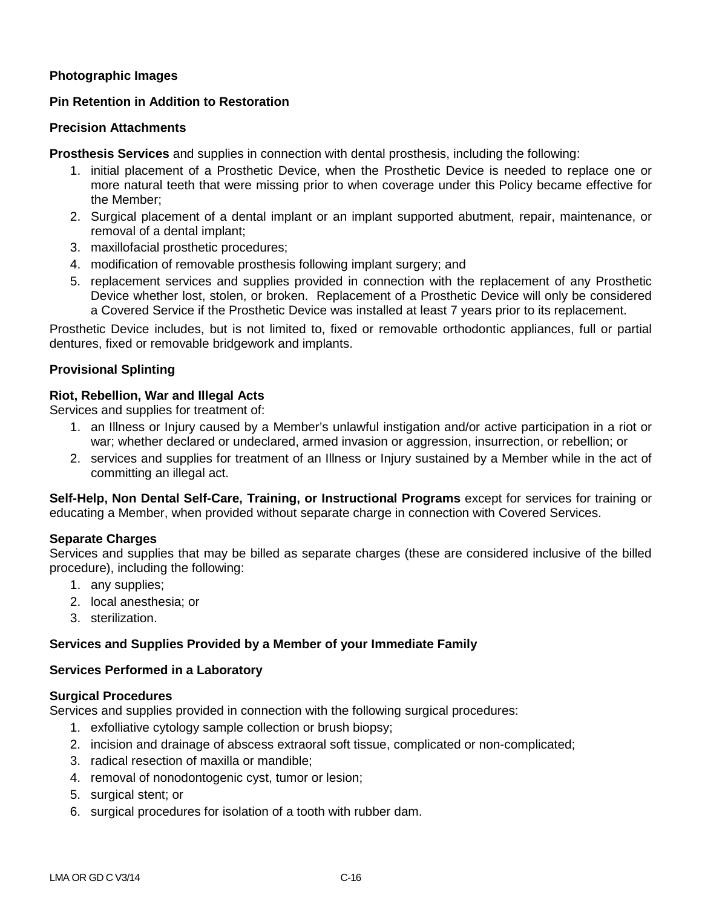## **Photographic Images**

## **Pin Retention in Addition to Restoration**

### **Precision Attachments**

**Prosthesis Services** and supplies in connection with dental prosthesis, including the following:

- 1. initial placement of a Prosthetic Device, when the Prosthetic Device is needed to replace one or more natural teeth that were missing prior to when coverage under this Policy became effective for the Member;
- 2. Surgical placement of a dental implant or an implant supported abutment, repair, maintenance, or removal of a dental implant;
- 3. maxillofacial prosthetic procedures;
- 4. modification of removable prosthesis following implant surgery; and
- 5. replacement services and supplies provided in connection with the replacement of any Prosthetic Device whether lost, stolen, or broken. Replacement of a Prosthetic Device will only be considered a Covered Service if the Prosthetic Device was installed at least 7 years prior to its replacement.

Prosthetic Device includes, but is not limited to, fixed or removable orthodontic appliances, full or partial dentures, fixed or removable bridgework and implants.

## **Provisional Splinting**

### **Riot, Rebellion, War and Illegal Acts**

Services and supplies for treatment of:

- 1. an Illness or Injury caused by a Member's unlawful instigation and/or active participation in a riot or war; whether declared or undeclared, armed invasion or aggression, insurrection, or rebellion; or
- 2. services and supplies for treatment of an Illness or Injury sustained by a Member while in the act of committing an illegal act.

**Self-Help, Non Dental Self-Care, Training, or Instructional Programs** except for services for training or educating a Member, when provided without separate charge in connection with Covered Services.

## **Separate Charges**

Services and supplies that may be billed as separate charges (these are considered inclusive of the billed procedure), including the following:

- 1. any supplies;
- 2. local anesthesia; or
- 3. sterilization.

### **Services and Supplies Provided by a Member of your Immediate Family**

### **Services Performed in a Laboratory**

### **Surgical Procedures**

Services and supplies provided in connection with the following surgical procedures:

- 1. exfolliative cytology sample collection or brush biopsy;
- 2. incision and drainage of abscess extraoral soft tissue, complicated or non-complicated;
- 3. radical resection of maxilla or mandible;
- 4. removal of nonodontogenic cyst, tumor or lesion;
- 5. surgical stent; or
- 6. surgical procedures for isolation of a tooth with rubber dam.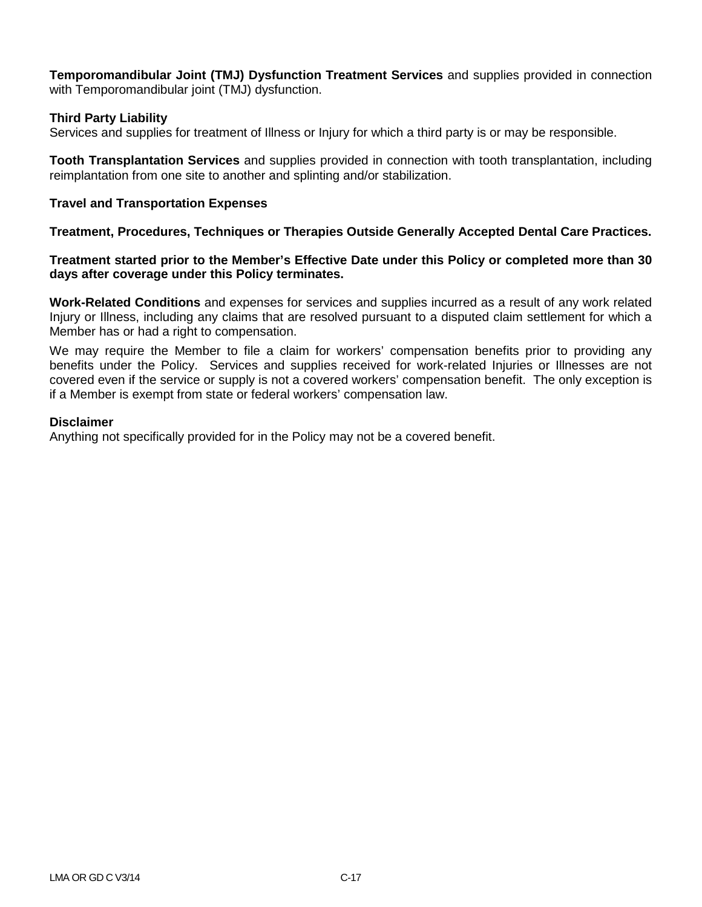**Temporomandibular Joint (TMJ) Dysfunction Treatment Services** and supplies provided in connection with Temporomandibular joint (TMJ) dysfunction.

## **Third Party Liability**

Services and supplies for treatment of Illness or Injury for which a third party is or may be responsible.

**Tooth Transplantation Services** and supplies provided in connection with tooth transplantation, including reimplantation from one site to another and splinting and/or stabilization.

### **Travel and Transportation Expenses**

**Treatment, Procedures, Techniques or Therapies Outside Generally Accepted Dental Care Practices.**

### **Treatment started prior to the Member's Effective Date under this Policy or completed more than 30 days after coverage under this Policy terminates.**

**Work-Related Conditions** and expenses for services and supplies incurred as a result of any work related Injury or Illness, including any claims that are resolved pursuant to a disputed claim settlement for which a Member has or had a right to compensation.

We may require the Member to file a claim for workers' compensation benefits prior to providing any benefits under the Policy. Services and supplies received for work-related Injuries or Illnesses are not covered even if the service or supply is not a covered workers' compensation benefit. The only exception is if a Member is exempt from state or federal workers' compensation law.

### **Disclaimer**

Anything not specifically provided for in the Policy may not be a covered benefit.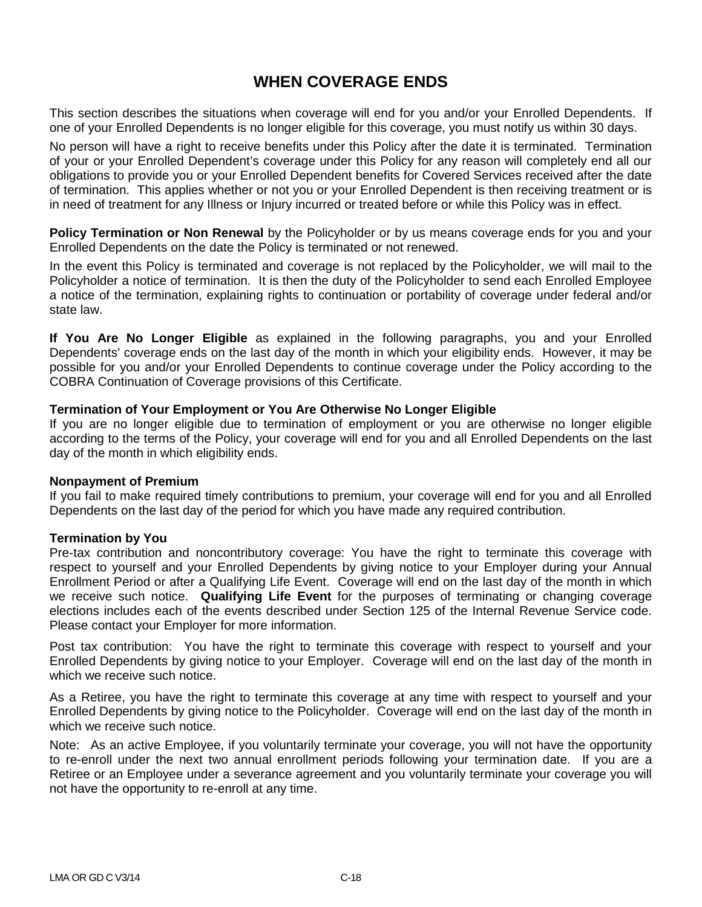## **WHEN COVERAGE ENDS**

This section describes the situations when coverage will end for you and/or your Enrolled Dependents. If one of your Enrolled Dependents is no longer eligible for this coverage, you must notify us within 30 days.

No person will have a right to receive benefits under this Policy after the date it is terminated. Termination of your or your Enrolled Dependent's coverage under this Policy for any reason will completely end all our obligations to provide you or your Enrolled Dependent benefits for Covered Services received after the date of termination. This applies whether or not you or your Enrolled Dependent is then receiving treatment or is in need of treatment for any Illness or Injury incurred or treated before or while this Policy was in effect.

**Policy Termination or Non Renewal** by the Policyholder or by us means coverage ends for you and your Enrolled Dependents on the date the Policy is terminated or not renewed.

In the event this Policy is terminated and coverage is not replaced by the Policyholder, we will mail to the Policyholder a notice of termination. It is then the duty of the Policyholder to send each Enrolled Employee a notice of the termination, explaining rights to continuation or portability of coverage under federal and/or state law.

**If You Are No Longer Eligible** as explained in the following paragraphs, you and your Enrolled Dependents' coverage ends on the last day of the month in which your eligibility ends. However, it may be possible for you and/or your Enrolled Dependents to continue coverage under the Policy according to the COBRA Continuation of Coverage provisions of this Certificate.

### **Termination of Your Employment or You Are Otherwise No Longer Eligible**

If you are no longer eligible due to termination of employment or you are otherwise no longer eligible according to the terms of the Policy, your coverage will end for you and all Enrolled Dependents on the last day of the month in which eligibility ends.

### **Nonpayment of Premium**

If you fail to make required timely contributions to premium, your coverage will end for you and all Enrolled Dependents on the last day of the period for which you have made any required contribution.

## **Termination by You**

Pre-tax contribution and noncontributory coverage: You have the right to terminate this coverage with respect to yourself and your Enrolled Dependents by giving notice to your Employer during your Annual Enrollment Period or after a Qualifying Life Event. Coverage will end on the last day of the month in which we receive such notice. **Qualifying Life Event** for the purposes of terminating or changing coverage elections includes each of the events described under Section 125 of the Internal Revenue Service code. Please contact your Employer for more information.

Post tax contribution: You have the right to terminate this coverage with respect to yourself and your Enrolled Dependents by giving notice to your Employer. Coverage will end on the last day of the month in which we receive such notice.

As a Retiree, you have the right to terminate this coverage at any time with respect to yourself and your Enrolled Dependents by giving notice to the Policyholder. Coverage will end on the last day of the month in which we receive such notice.

Note: As an active Employee, if you voluntarily terminate your coverage, you will not have the opportunity to re-enroll under the next two annual enrollment periods following your termination date. If you are a Retiree or an Employee under a severance agreement and you voluntarily terminate your coverage you will not have the opportunity to re-enroll at any time.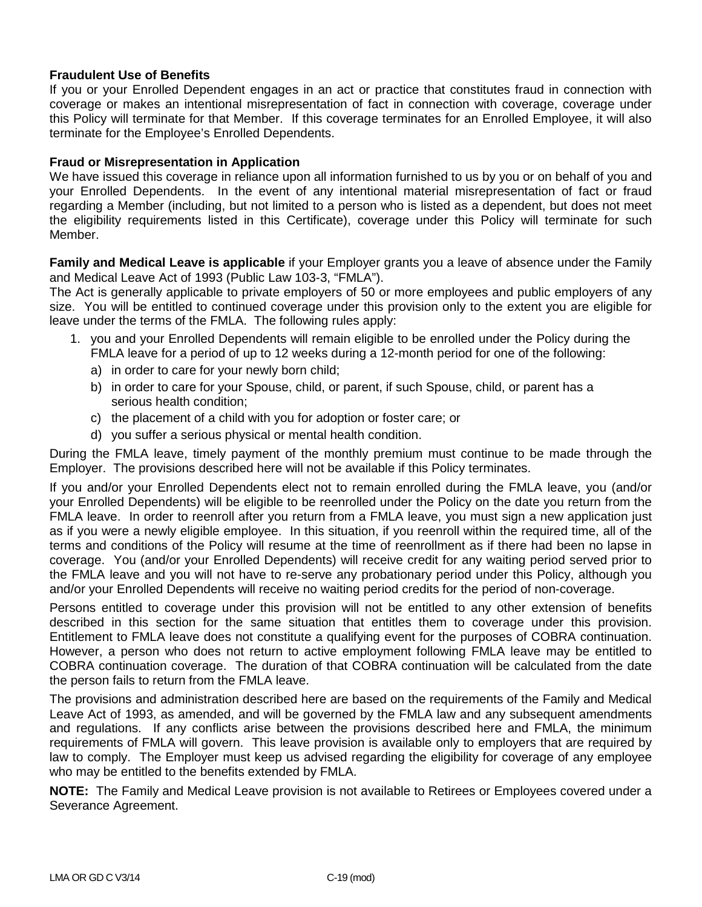## **Fraudulent Use of Benefits**

If you or your Enrolled Dependent engages in an act or practice that constitutes fraud in connection with coverage or makes an intentional misrepresentation of fact in connection with coverage, coverage under this Policy will terminate for that Member. If this coverage terminates for an Enrolled Employee, it will also terminate for the Employee's Enrolled Dependents.

### **Fraud or Misrepresentation in Application**

We have issued this coverage in reliance upon all information furnished to us by you or on behalf of you and your Enrolled Dependents. In the event of any intentional material misrepresentation of fact or fraud regarding a Member (including, but not limited to a person who is listed as a dependent, but does not meet the eligibility requirements listed in this Certificate), coverage under this Policy will terminate for such Member.

**Family and Medical Leave is applicable** if your Employer grants you a leave of absence under the Family and Medical Leave Act of 1993 (Public Law 103-3, "FMLA").

The Act is generally applicable to private employers of 50 or more employees and public employers of any size. You will be entitled to continued coverage under this provision only to the extent you are eligible for leave under the terms of the FMLA. The following rules apply:

- 1. you and your Enrolled Dependents will remain eligible to be enrolled under the Policy during the FMLA leave for a period of up to 12 weeks during a 12-month period for one of the following:
	- a) in order to care for your newly born child;
	- b) in order to care for your Spouse, child, or parent, if such Spouse, child, or parent has a serious health condition;
	- c) the placement of a child with you for adoption or foster care; or
	- d) you suffer a serious physical or mental health condition.

During the FMLA leave, timely payment of the monthly premium must continue to be made through the Employer. The provisions described here will not be available if this Policy terminates.

If you and/or your Enrolled Dependents elect not to remain enrolled during the FMLA leave, you (and/or your Enrolled Dependents) will be eligible to be reenrolled under the Policy on the date you return from the FMLA leave. In order to reenroll after you return from a FMLA leave, you must sign a new application just as if you were a newly eligible employee. In this situation, if you reenroll within the required time, all of the terms and conditions of the Policy will resume at the time of reenrollment as if there had been no lapse in coverage. You (and/or your Enrolled Dependents) will receive credit for any waiting period served prior to the FMLA leave and you will not have to re-serve any probationary period under this Policy, although you and/or your Enrolled Dependents will receive no waiting period credits for the period of non-coverage.

Persons entitled to coverage under this provision will not be entitled to any other extension of benefits described in this section for the same situation that entitles them to coverage under this provision. Entitlement to FMLA leave does not constitute a qualifying event for the purposes of COBRA continuation. However, a person who does not return to active employment following FMLA leave may be entitled to COBRA continuation coverage. The duration of that COBRA continuation will be calculated from the date the person fails to return from the FMLA leave.

The provisions and administration described here are based on the requirements of the Family and Medical Leave Act of 1993, as amended, and will be governed by the FMLA law and any subsequent amendments and regulations. If any conflicts arise between the provisions described here and FMLA, the minimum requirements of FMLA will govern. This leave provision is available only to employers that are required by law to comply. The Employer must keep us advised regarding the eligibility for coverage of any employee who may be entitled to the benefits extended by FMLA.

**NOTE:** The Family and Medical Leave provision is not available to Retirees or Employees covered under a Severance Agreement.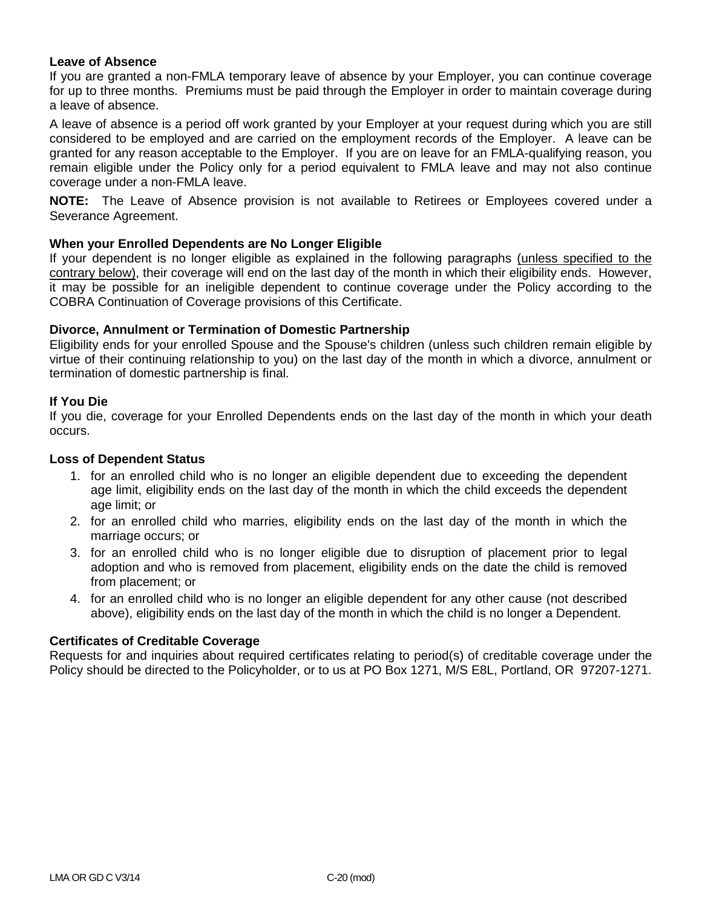### **Leave of Absence**

If you are granted a non-FMLA temporary leave of absence by your Employer, you can continue coverage for up to three months. Premiums must be paid through the Employer in order to maintain coverage during a leave of absence.

A leave of absence is a period off work granted by your Employer at your request during which you are still considered to be employed and are carried on the employment records of the Employer. A leave can be granted for any reason acceptable to the Employer. If you are on leave for an FMLA-qualifying reason, you remain eligible under the Policy only for a period equivalent to FMLA leave and may not also continue coverage under a non-FMLA leave.

**NOTE:** The Leave of Absence provision is not available to Retirees or Employees covered under a Severance Agreement.

### **When your Enrolled Dependents are No Longer Eligible**

If your dependent is no longer eligible as explained in the following paragraphs (unless specified to the contrary below), their coverage will end on the last day of the month in which their eligibility ends. However, it may be possible for an ineligible dependent to continue coverage under the Policy according to the COBRA Continuation of Coverage provisions of this Certificate.

#### **Divorce, Annulment or Termination of Domestic Partnership**

Eligibility ends for your enrolled Spouse and the Spouse's children (unless such children remain eligible by virtue of their continuing relationship to you) on the last day of the month in which a divorce, annulment or termination of domestic partnership is final.

#### **If You Die**

If you die, coverage for your Enrolled Dependents ends on the last day of the month in which your death occurs.

### **Loss of Dependent Status**

- 1. for an enrolled child who is no longer an eligible dependent due to exceeding the dependent age limit, eligibility ends on the last day of the month in which the child exceeds the dependent age limit; or
- 2. for an enrolled child who marries, eligibility ends on the last day of the month in which the marriage occurs; or
- 3. for an enrolled child who is no longer eligible due to disruption of placement prior to legal adoption and who is removed from placement, eligibility ends on the date the child is removed from placement; or
- 4. for an enrolled child who is no longer an eligible dependent for any other cause (not described above), eligibility ends on the last day of the month in which the child is no longer a Dependent.

### **Certificates of Creditable Coverage**

Requests for and inquiries about required certificates relating to period(s) of creditable coverage under the Policy should be directed to the Policyholder, or to us at PO Box 1271, M/S E8L, Portland, OR 97207-1271.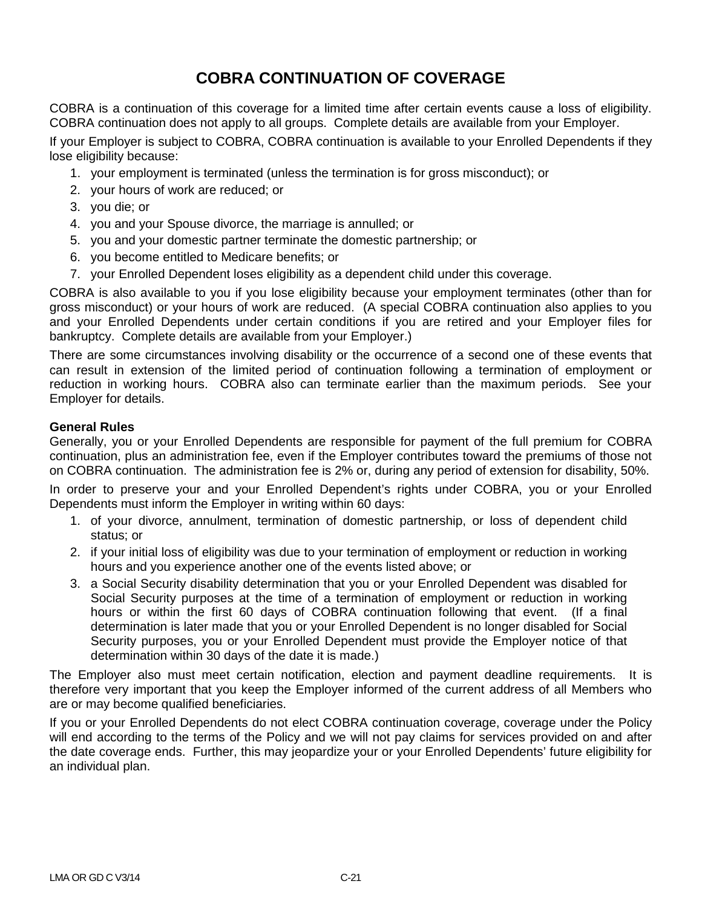# **COBRA CONTINUATION OF COVERAGE**

COBRA is a continuation of this coverage for a limited time after certain events cause a loss of eligibility. COBRA continuation does not apply to all groups. Complete details are available from your Employer.

If your Employer is subject to COBRA, COBRA continuation is available to your Enrolled Dependents if they lose eligibility because:

- 1. your employment is terminated (unless the termination is for gross misconduct); or
- 2. your hours of work are reduced; or
- 3. you die; or
- 4. you and your Spouse divorce, the marriage is annulled; or
- 5. you and your domestic partner terminate the domestic partnership; or
- 6. you become entitled to Medicare benefits; or
- 7. your Enrolled Dependent loses eligibility as a dependent child under this coverage.

COBRA is also available to you if you lose eligibility because your employment terminates (other than for gross misconduct) or your hours of work are reduced. (A special COBRA continuation also applies to you and your Enrolled Dependents under certain conditions if you are retired and your Employer files for bankruptcy. Complete details are available from your Employer.)

There are some circumstances involving disability or the occurrence of a second one of these events that can result in extension of the limited period of continuation following a termination of employment or reduction in working hours. COBRA also can terminate earlier than the maximum periods. See your Employer for details.

## **General Rules**

Generally, you or your Enrolled Dependents are responsible for payment of the full premium for COBRA continuation, plus an administration fee, even if the Employer contributes toward the premiums of those not on COBRA continuation. The administration fee is 2% or, during any period of extension for disability, 50%.

In order to preserve your and your Enrolled Dependent's rights under COBRA, you or your Enrolled Dependents must inform the Employer in writing within 60 days:

- 1. of your divorce, annulment, termination of domestic partnership, or loss of dependent child status; or
- 2. if your initial loss of eligibility was due to your termination of employment or reduction in working hours and you experience another one of the events listed above; or
- 3. a Social Security disability determination that you or your Enrolled Dependent was disabled for Social Security purposes at the time of a termination of employment or reduction in working hours or within the first 60 days of COBRA continuation following that event. (If a final determination is later made that you or your Enrolled Dependent is no longer disabled for Social Security purposes, you or your Enrolled Dependent must provide the Employer notice of that determination within 30 days of the date it is made.)

The Employer also must meet certain notification, election and payment deadline requirements. It is therefore very important that you keep the Employer informed of the current address of all Members who are or may become qualified beneficiaries.

If you or your Enrolled Dependents do not elect COBRA continuation coverage, coverage under the Policy will end according to the terms of the Policy and we will not pay claims for services provided on and after the date coverage ends. Further, this may jeopardize your or your Enrolled Dependents' future eligibility for an individual plan.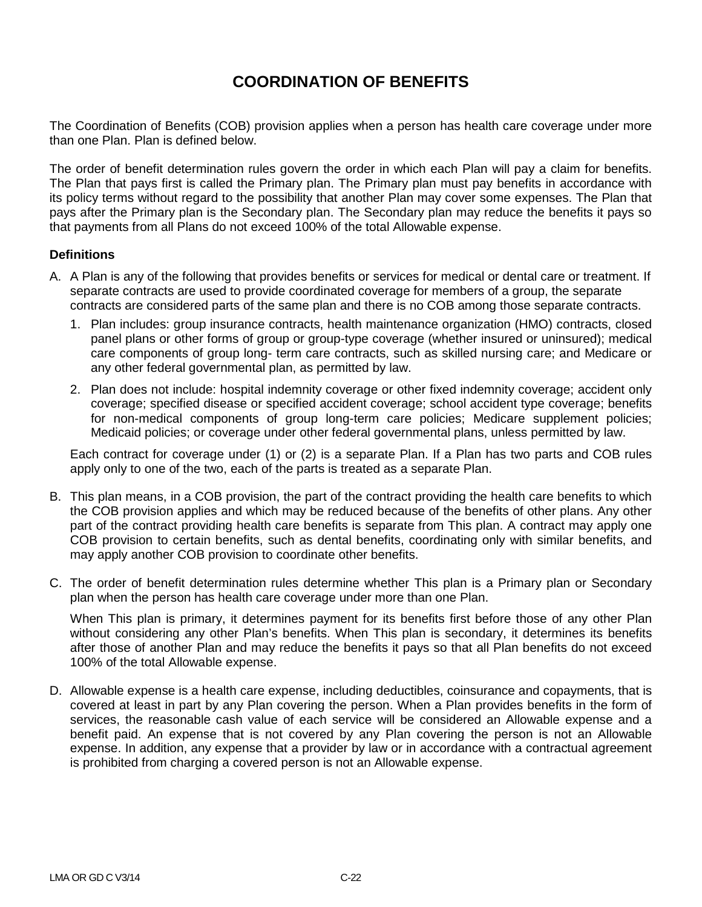# **COORDINATION OF BENEFITS**

The Coordination of Benefits (COB) provision applies when a person has health care coverage under more than one Plan. Plan is defined below.

The order of benefit determination rules govern the order in which each Plan will pay a claim for benefits. The Plan that pays first is called the Primary plan. The Primary plan must pay benefits in accordance with its policy terms without regard to the possibility that another Plan may cover some expenses. The Plan that pays after the Primary plan is the Secondary plan. The Secondary plan may reduce the benefits it pays so that payments from all Plans do not exceed 100% of the total Allowable expense.

### **Definitions**

- A. A Plan is any of the following that provides benefits or services for medical or dental care or treatment. If separate contracts are used to provide coordinated coverage for members of a group, the separate contracts are considered parts of the same plan and there is no COB among those separate contracts.
	- 1. Plan includes: group insurance contracts, health maintenance organization (HMO) contracts, closed panel plans or other forms of group or group-type coverage (whether insured or uninsured); medical care components of group long- term care contracts, such as skilled nursing care; and Medicare or any other federal governmental plan, as permitted by law.
	- 2. Plan does not include: hospital indemnity coverage or other fixed indemnity coverage; accident only coverage; specified disease or specified accident coverage; school accident type coverage; benefits for non-medical components of group long-term care policies; Medicare supplement policies; Medicaid policies; or coverage under other federal governmental plans, unless permitted by law.

Each contract for coverage under (1) or (2) is a separate Plan. If a Plan has two parts and COB rules apply only to one of the two, each of the parts is treated as a separate Plan.

- B. This plan means, in a COB provision, the part of the contract providing the health care benefits to which the COB provision applies and which may be reduced because of the benefits of other plans. Any other part of the contract providing health care benefits is separate from This plan. A contract may apply one COB provision to certain benefits, such as dental benefits, coordinating only with similar benefits, and may apply another COB provision to coordinate other benefits.
- C. The order of benefit determination rules determine whether This plan is a Primary plan or Secondary plan when the person has health care coverage under more than one Plan.

When This plan is primary, it determines payment for its benefits first before those of any other Plan without considering any other Plan's benefits. When This plan is secondary, it determines its benefits after those of another Plan and may reduce the benefits it pays so that all Plan benefits do not exceed 100% of the total Allowable expense.

D. Allowable expense is a health care expense, including deductibles, coinsurance and copayments, that is covered at least in part by any Plan covering the person. When a Plan provides benefits in the form of services, the reasonable cash value of each service will be considered an Allowable expense and a benefit paid. An expense that is not covered by any Plan covering the person is not an Allowable expense. In addition, any expense that a provider by law or in accordance with a contractual agreement is prohibited from charging a covered person is not an Allowable expense.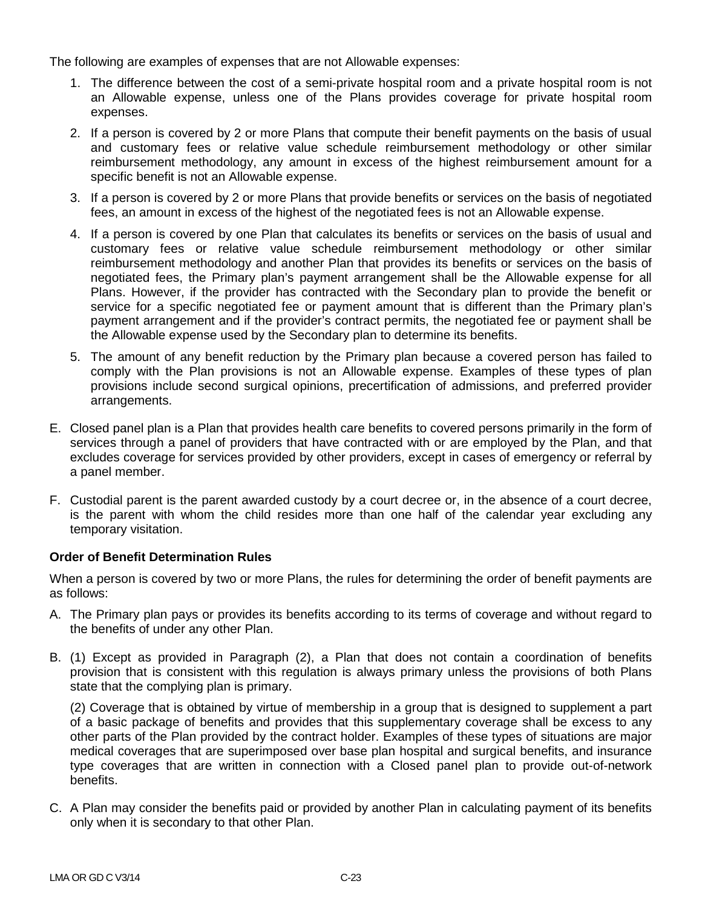The following are examples of expenses that are not Allowable expenses:

- 1. The difference between the cost of a semi-private hospital room and a private hospital room is not an Allowable expense, unless one of the Plans provides coverage for private hospital room expenses.
- 2. If a person is covered by 2 or more Plans that compute their benefit payments on the basis of usual and customary fees or relative value schedule reimbursement methodology or other similar reimbursement methodology, any amount in excess of the highest reimbursement amount for a specific benefit is not an Allowable expense.
- 3. If a person is covered by 2 or more Plans that provide benefits or services on the basis of negotiated fees, an amount in excess of the highest of the negotiated fees is not an Allowable expense.
- 4. If a person is covered by one Plan that calculates its benefits or services on the basis of usual and customary fees or relative value schedule reimbursement methodology or other similar reimbursement methodology and another Plan that provides its benefits or services on the basis of negotiated fees, the Primary plan's payment arrangement shall be the Allowable expense for all Plans. However, if the provider has contracted with the Secondary plan to provide the benefit or service for a specific negotiated fee or payment amount that is different than the Primary plan's payment arrangement and if the provider's contract permits, the negotiated fee or payment shall be the Allowable expense used by the Secondary plan to determine its benefits.
- 5. The amount of any benefit reduction by the Primary plan because a covered person has failed to comply with the Plan provisions is not an Allowable expense. Examples of these types of plan provisions include second surgical opinions, precertification of admissions, and preferred provider arrangements.
- E. Closed panel plan is a Plan that provides health care benefits to covered persons primarily in the form of services through a panel of providers that have contracted with or are employed by the Plan, and that excludes coverage for services provided by other providers, except in cases of emergency or referral by a panel member.
- F. Custodial parent is the parent awarded custody by a court decree or, in the absence of a court decree, is the parent with whom the child resides more than one half of the calendar year excluding any temporary visitation.

## **Order of Benefit Determination Rules**

When a person is covered by two or more Plans, the rules for determining the order of benefit payments are as follows:

- A. The Primary plan pays or provides its benefits according to its terms of coverage and without regard to the benefits of under any other Plan.
- B. (1) Except as provided in Paragraph (2), a Plan that does not contain a coordination of benefits provision that is consistent with this regulation is always primary unless the provisions of both Plans state that the complying plan is primary.

(2) Coverage that is obtained by virtue of membership in a group that is designed to supplement a part of a basic package of benefits and provides that this supplementary coverage shall be excess to any other parts of the Plan provided by the contract holder. Examples of these types of situations are major medical coverages that are superimposed over base plan hospital and surgical benefits, and insurance type coverages that are written in connection with a Closed panel plan to provide out-of-network benefits.

C. A Plan may consider the benefits paid or provided by another Plan in calculating payment of its benefits only when it is secondary to that other Plan.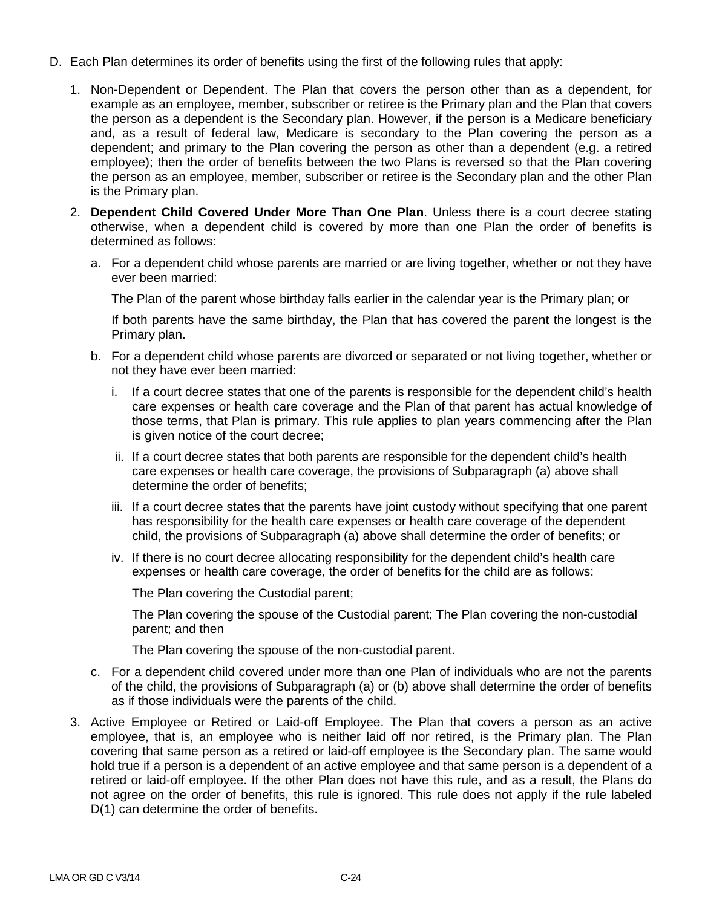- D. Each Plan determines its order of benefits using the first of the following rules that apply:
	- 1. Non-Dependent or Dependent. The Plan that covers the person other than as a dependent, for example as an employee, member, subscriber or retiree is the Primary plan and the Plan that covers the person as a dependent is the Secondary plan. However, if the person is a Medicare beneficiary and, as a result of federal law, Medicare is secondary to the Plan covering the person as a dependent; and primary to the Plan covering the person as other than a dependent (e.g. a retired employee); then the order of benefits between the two Plans is reversed so that the Plan covering the person as an employee, member, subscriber or retiree is the Secondary plan and the other Plan is the Primary plan.
	- 2. **Dependent Child Covered Under More Than One Plan**. Unless there is a court decree stating otherwise, when a dependent child is covered by more than one Plan the order of benefits is determined as follows:
		- a. For a dependent child whose parents are married or are living together, whether or not they have ever been married:

The Plan of the parent whose birthday falls earlier in the calendar year is the Primary plan; or

If both parents have the same birthday, the Plan that has covered the parent the longest is the Primary plan.

- b. For a dependent child whose parents are divorced or separated or not living together, whether or not they have ever been married:
	- i. If a court decree states that one of the parents is responsible for the dependent child's health care expenses or health care coverage and the Plan of that parent has actual knowledge of those terms, that Plan is primary. This rule applies to plan years commencing after the Plan is given notice of the court decree;
	- ii. If a court decree states that both parents are responsible for the dependent child's health care expenses or health care coverage, the provisions of Subparagraph (a) above shall determine the order of benefits;
	- iii. If a court decree states that the parents have joint custody without specifying that one parent has responsibility for the health care expenses or health care coverage of the dependent child, the provisions of Subparagraph (a) above shall determine the order of benefits; or
	- iv. If there is no court decree allocating responsibility for the dependent child's health care expenses or health care coverage, the order of benefits for the child are as follows:

The Plan covering the Custodial parent;

The Plan covering the spouse of the Custodial parent; The Plan covering the non-custodial parent; and then

The Plan covering the spouse of the non-custodial parent.

- c. For a dependent child covered under more than one Plan of individuals who are not the parents of the child, the provisions of Subparagraph (a) or (b) above shall determine the order of benefits as if those individuals were the parents of the child.
- 3. Active Employee or Retired or Laid-off Employee. The Plan that covers a person as an active employee, that is, an employee who is neither laid off nor retired, is the Primary plan. The Plan covering that same person as a retired or laid-off employee is the Secondary plan. The same would hold true if a person is a dependent of an active employee and that same person is a dependent of a retired or laid-off employee. If the other Plan does not have this rule, and as a result, the Plans do not agree on the order of benefits, this rule is ignored. This rule does not apply if the rule labeled D(1) can determine the order of benefits.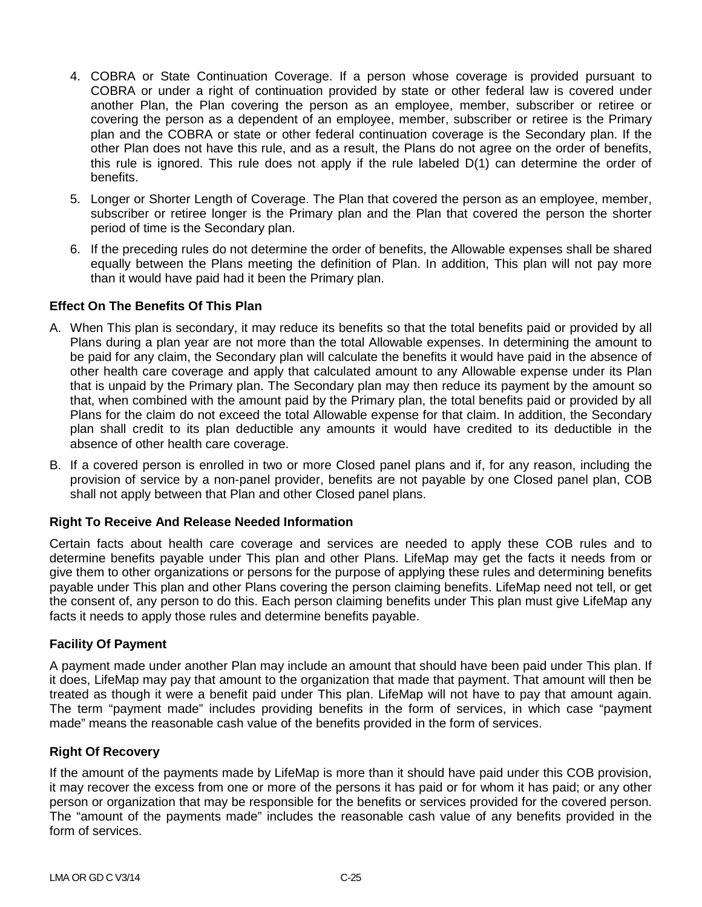- 4. COBRA or State Continuation Coverage. If a person whose coverage is provided pursuant to COBRA or under a right of continuation provided by state or other federal law is covered under another Plan, the Plan covering the person as an employee, member, subscriber or retiree or covering the person as a dependent of an employee, member, subscriber or retiree is the Primary plan and the COBRA or state or other federal continuation coverage is the Secondary plan. If the other Plan does not have this rule, and as a result, the Plans do not agree on the order of benefits, this rule is ignored. This rule does not apply if the rule labeled D(1) can determine the order of benefits.
- 5. Longer or Shorter Length of Coverage. The Plan that covered the person as an employee, member, subscriber or retiree longer is the Primary plan and the Plan that covered the person the shorter period of time is the Secondary plan.
- 6. If the preceding rules do not determine the order of benefits, the Allowable expenses shall be shared equally between the Plans meeting the definition of Plan. In addition, This plan will not pay more than it would have paid had it been the Primary plan.

## **Effect On The Benefits Of This Plan**

- A. When This plan is secondary, it may reduce its benefits so that the total benefits paid or provided by all Plans during a plan year are not more than the total Allowable expenses. In determining the amount to be paid for any claim, the Secondary plan will calculate the benefits it would have paid in the absence of other health care coverage and apply that calculated amount to any Allowable expense under its Plan that is unpaid by the Primary plan. The Secondary plan may then reduce its payment by the amount so that, when combined with the amount paid by the Primary plan, the total benefits paid or provided by all Plans for the claim do not exceed the total Allowable expense for that claim. In addition, the Secondary plan shall credit to its plan deductible any amounts it would have credited to its deductible in the absence of other health care coverage.
- B. If a covered person is enrolled in two or more Closed panel plans and if, for any reason, including the provision of service by a non-panel provider, benefits are not payable by one Closed panel plan, COB shall not apply between that Plan and other Closed panel plans.

## **Right To Receive And Release Needed Information**

Certain facts about health care coverage and services are needed to apply these COB rules and to determine benefits payable under This plan and other Plans. LifeMap may get the facts it needs from or give them to other organizations or persons for the purpose of applying these rules and determining benefits payable under This plan and other Plans covering the person claiming benefits. LifeMap need not tell, or get the consent of, any person to do this. Each person claiming benefits under This plan must give LifeMap any facts it needs to apply those rules and determine benefits payable.

### **Facility Of Payment**

A payment made under another Plan may include an amount that should have been paid under This plan. If it does, LifeMap may pay that amount to the organization that made that payment. That amount will then be treated as though it were a benefit paid under This plan. LifeMap will not have to pay that amount again. The term "payment made" includes providing benefits in the form of services, in which case "payment made" means the reasonable cash value of the benefits provided in the form of services.

## **Right Of Recovery**

If the amount of the payments made by LifeMap is more than it should have paid under this COB provision, it may recover the excess from one or more of the persons it has paid or for whom it has paid; or any other person or organization that may be responsible for the benefits or services provided for the covered person. The "amount of the payments made" includes the reasonable cash value of any benefits provided in the form of services.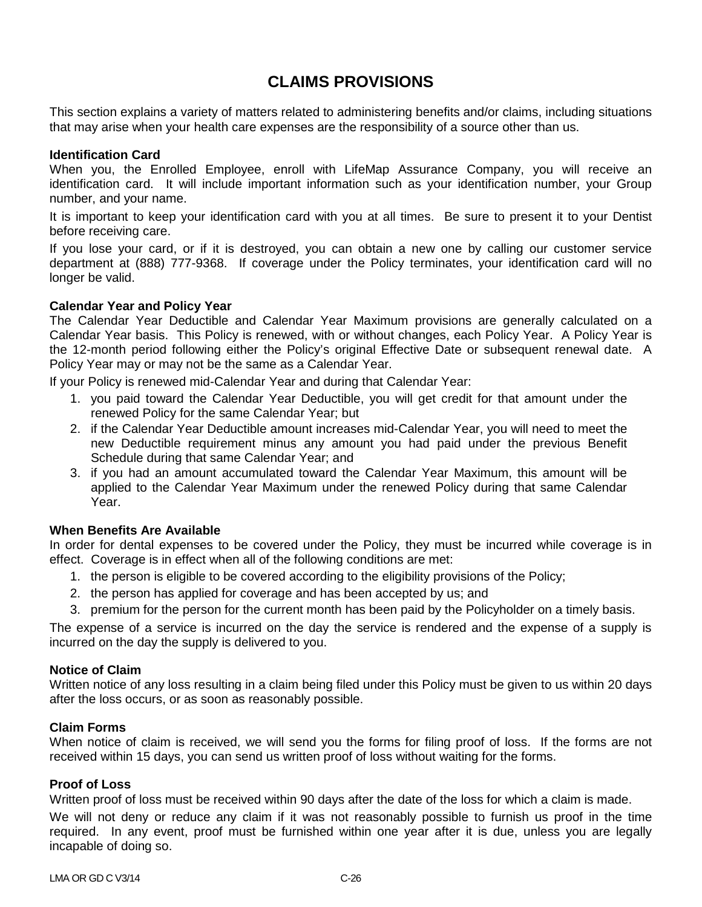# **CLAIMS PROVISIONS**

This section explains a variety of matters related to administering benefits and/or claims, including situations that may arise when your health care expenses are the responsibility of a source other than us.

### **Identification Card**

When you, the Enrolled Employee, enroll with LifeMap Assurance Company, you will receive an identification card. It will include important information such as your identification number, your Group number, and your name.

It is important to keep your identification card with you at all times. Be sure to present it to your Dentist before receiving care.

If you lose your card, or if it is destroyed, you can obtain a new one by calling our customer service department at (888) 777-9368. If coverage under the Policy terminates, your identification card will no longer be valid.

### **Calendar Year and Policy Year**

The Calendar Year Deductible and Calendar Year Maximum provisions are generally calculated on a Calendar Year basis. This Policy is renewed, with or without changes, each Policy Year. A Policy Year is the 12-month period following either the Policy's original Effective Date or subsequent renewal date. A Policy Year may or may not be the same as a Calendar Year.

If your Policy is renewed mid-Calendar Year and during that Calendar Year:

- 1. you paid toward the Calendar Year Deductible, you will get credit for that amount under the renewed Policy for the same Calendar Year; but
- 2. if the Calendar Year Deductible amount increases mid-Calendar Year, you will need to meet the new Deductible requirement minus any amount you had paid under the previous Benefit Schedule during that same Calendar Year; and
- 3. if you had an amount accumulated toward the Calendar Year Maximum, this amount will be applied to the Calendar Year Maximum under the renewed Policy during that same Calendar Year.

## **When Benefits Are Available**

In order for dental expenses to be covered under the Policy, they must be incurred while coverage is in effect. Coverage is in effect when all of the following conditions are met:

- 1. the person is eligible to be covered according to the eligibility provisions of the Policy;
- 2. the person has applied for coverage and has been accepted by us; and
- 3. premium for the person for the current month has been paid by the Policyholder on a timely basis.

The expense of a service is incurred on the day the service is rendered and the expense of a supply is incurred on the day the supply is delivered to you.

### **Notice of Claim**

Written notice of any loss resulting in a claim being filed under this Policy must be given to us within 20 days after the loss occurs, or as soon as reasonably possible.

### **Claim Forms**

When notice of claim is received, we will send you the forms for filing proof of loss. If the forms are not received within 15 days, you can send us written proof of loss without waiting for the forms.

### **Proof of Loss**

Written proof of loss must be received within 90 days after the date of the loss for which a claim is made.

We will not deny or reduce any claim if it was not reasonably possible to furnish us proof in the time required. In any event, proof must be furnished within one year after it is due, unless you are legally incapable of doing so.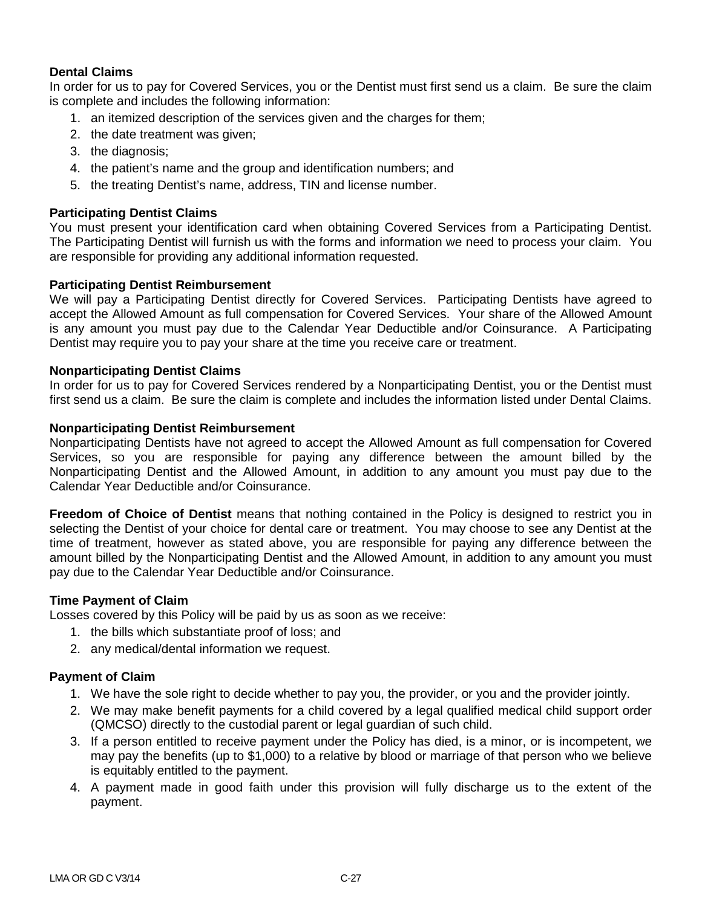## **Dental Claims**

In order for us to pay for Covered Services, you or the Dentist must first send us a claim. Be sure the claim is complete and includes the following information:

- 1. an itemized description of the services given and the charges for them;
- 2. the date treatment was given;
- 3. the diagnosis;
- 4. the patient's name and the group and identification numbers; and
- 5. the treating Dentist's name, address, TIN and license number.

## **Participating Dentist Claims**

You must present your identification card when obtaining Covered Services from a Participating Dentist. The Participating Dentist will furnish us with the forms and information we need to process your claim. You are responsible for providing any additional information requested.

### **Participating Dentist Reimbursement**

We will pay a Participating Dentist directly for Covered Services. Participating Dentists have agreed to accept the Allowed Amount as full compensation for Covered Services. Your share of the Allowed Amount is any amount you must pay due to the Calendar Year Deductible and/or Coinsurance. A Participating Dentist may require you to pay your share at the time you receive care or treatment.

## **Nonparticipating Dentist Claims**

In order for us to pay for Covered Services rendered by a Nonparticipating Dentist, you or the Dentist must first send us a claim. Be sure the claim is complete and includes the information listed under Dental Claims.

### **Nonparticipating Dentist Reimbursement**

Nonparticipating Dentists have not agreed to accept the Allowed Amount as full compensation for Covered Services, so you are responsible for paying any difference between the amount billed by the Nonparticipating Dentist and the Allowed Amount, in addition to any amount you must pay due to the Calendar Year Deductible and/or Coinsurance.

**Freedom of Choice of Dentist** means that nothing contained in the Policy is designed to restrict you in selecting the Dentist of your choice for dental care or treatment. You may choose to see any Dentist at the time of treatment, however as stated above, you are responsible for paying any difference between the amount billed by the Nonparticipating Dentist and the Allowed Amount, in addition to any amount you must pay due to the Calendar Year Deductible and/or Coinsurance.

## **Time Payment of Claim**

Losses covered by this Policy will be paid by us as soon as we receive:

- 1. the bills which substantiate proof of loss; and
- 2. any medical/dental information we request.

## **Payment of Claim**

- 1. We have the sole right to decide whether to pay you, the provider, or you and the provider jointly.
- 2. We may make benefit payments for a child covered by a legal qualified medical child support order (QMCSO) directly to the custodial parent or legal guardian of such child.
- 3. If a person entitled to receive payment under the Policy has died, is a minor, or is incompetent, we may pay the benefits (up to \$1,000) to a relative by blood or marriage of that person who we believe is equitably entitled to the payment.
- 4. A payment made in good faith under this provision will fully discharge us to the extent of the payment.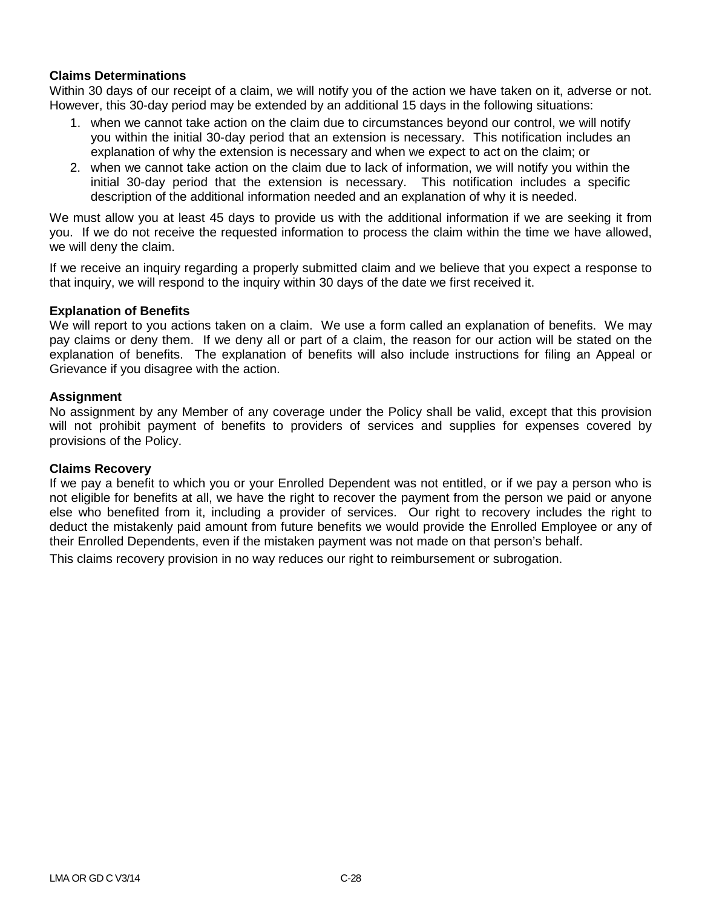## **Claims Determinations**

Within 30 days of our receipt of a claim, we will notify you of the action we have taken on it, adverse or not. However, this 30-day period may be extended by an additional 15 days in the following situations:

- 1. when we cannot take action on the claim due to circumstances beyond our control, we will notify you within the initial 30-day period that an extension is necessary. This notification includes an explanation of why the extension is necessary and when we expect to act on the claim; or
- 2. when we cannot take action on the claim due to lack of information, we will notify you within the initial 30-day period that the extension is necessary. This notification includes a specific description of the additional information needed and an explanation of why it is needed.

We must allow you at least 45 days to provide us with the additional information if we are seeking it from you. If we do not receive the requested information to process the claim within the time we have allowed, we will deny the claim.

If we receive an inquiry regarding a properly submitted claim and we believe that you expect a response to that inquiry, we will respond to the inquiry within 30 days of the date we first received it.

### **Explanation of Benefits**

We will report to you actions taken on a claim. We use a form called an explanation of benefits. We may pay claims or deny them. If we deny all or part of a claim, the reason for our action will be stated on the explanation of benefits. The explanation of benefits will also include instructions for filing an Appeal or Grievance if you disagree with the action.

### **Assignment**

No assignment by any Member of any coverage under the Policy shall be valid, except that this provision will not prohibit payment of benefits to providers of services and supplies for expenses covered by provisions of the Policy.

#### **Claims Recovery**

If we pay a benefit to which you or your Enrolled Dependent was not entitled, or if we pay a person who is not eligible for benefits at all, we have the right to recover the payment from the person we paid or anyone else who benefited from it, including a provider of services. Our right to recovery includes the right to deduct the mistakenly paid amount from future benefits we would provide the Enrolled Employee or any of their Enrolled Dependents, even if the mistaken payment was not made on that person's behalf.

This claims recovery provision in no way reduces our right to reimbursement or subrogation.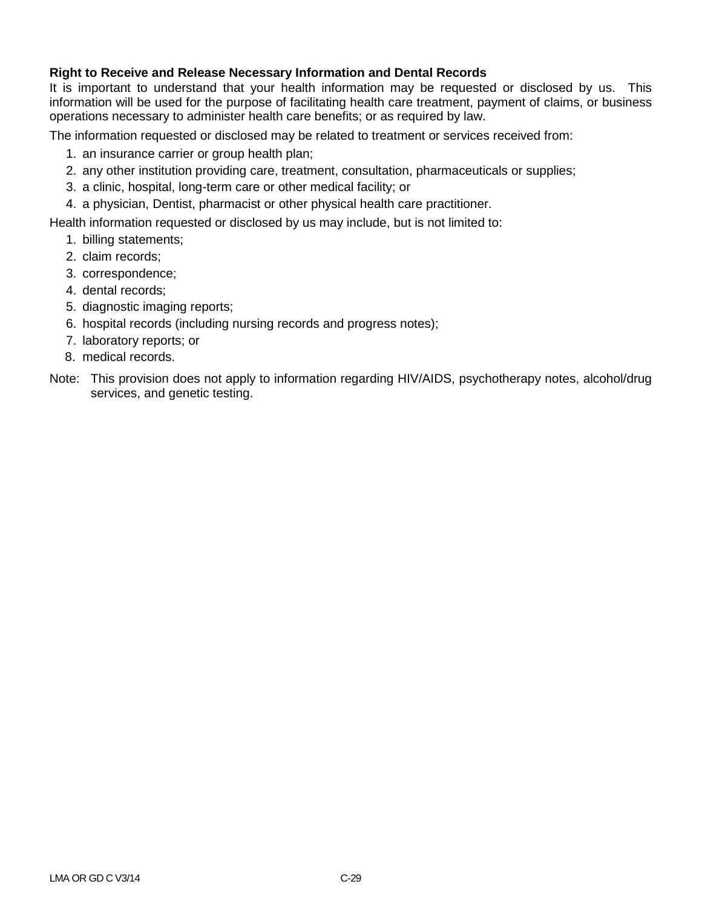## **Right to Receive and Release Necessary Information and Dental Records**

It is important to understand that your health information may be requested or disclosed by us. This information will be used for the purpose of facilitating health care treatment, payment of claims, or business operations necessary to administer health care benefits; or as required by law.

The information requested or disclosed may be related to treatment or services received from:

- 1. an insurance carrier or group health plan;
- 2. any other institution providing care, treatment, consultation, pharmaceuticals or supplies;
- 3. a clinic, hospital, long-term care or other medical facility; or
- 4. a physician, Dentist, pharmacist or other physical health care practitioner.

Health information requested or disclosed by us may include, but is not limited to:

- 1. billing statements;
- 2. claim records;
- 3. correspondence;
- 4. dental records;
- 5. diagnostic imaging reports;
- 6. hospital records (including nursing records and progress notes);
- 7. laboratory reports; or
- 8. medical records.
- Note: This provision does not apply to information regarding HIV/AIDS, psychotherapy notes, alcohol/drug services, and genetic testing.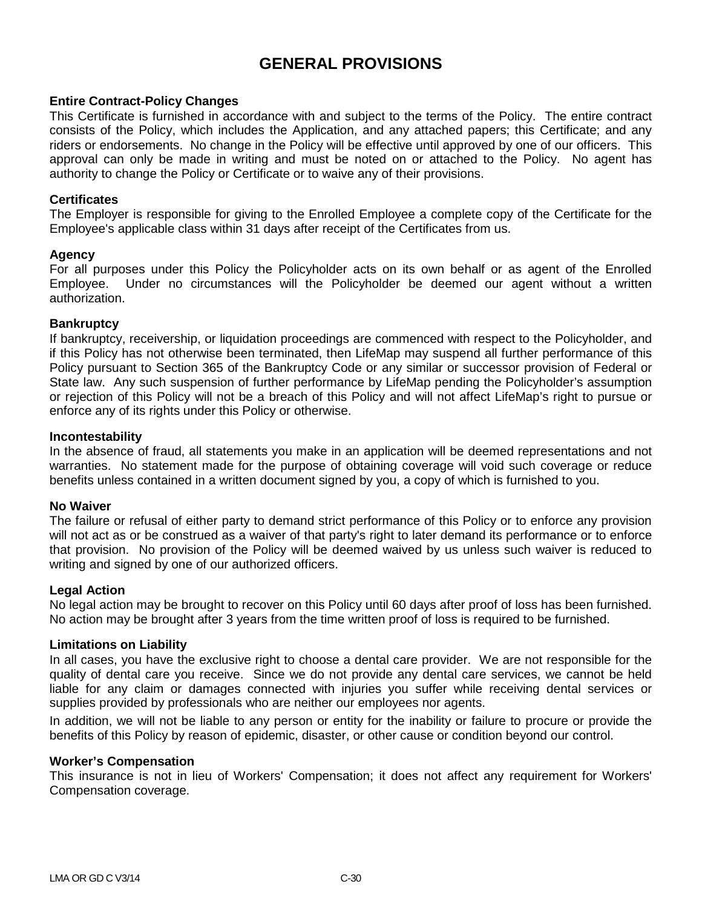# **GENERAL PROVISIONS**

### **Entire Contract-Policy Changes**

This Certificate is furnished in accordance with and subject to the terms of the Policy. The entire contract consists of the Policy, which includes the Application, and any attached papers; this Certificate; and any riders or endorsements. No change in the Policy will be effective until approved by one of our officers. This approval can only be made in writing and must be noted on or attached to the Policy. No agent has authority to change the Policy or Certificate or to waive any of their provisions.

### **Certificates**

The Employer is responsible for giving to the Enrolled Employee a complete copy of the Certificate for the Employee's applicable class within 31 days after receipt of the Certificates from us.

### **Agency**

For all purposes under this Policy the Policyholder acts on its own behalf or as agent of the Enrolled Employee. Under no circumstances will the Policyholder be deemed our agent without a written authorization.

### **Bankruptcy**

If bankruptcy, receivership, or liquidation proceedings are commenced with respect to the Policyholder, and if this Policy has not otherwise been terminated, then LifeMap may suspend all further performance of this Policy pursuant to Section 365 of the Bankruptcy Code or any similar or successor provision of Federal or State law. Any such suspension of further performance by LifeMap pending the Policyholder's assumption or rejection of this Policy will not be a breach of this Policy and will not affect LifeMap's right to pursue or enforce any of its rights under this Policy or otherwise.

### **Incontestability**

In the absence of fraud, all statements you make in an application will be deemed representations and not warranties. No statement made for the purpose of obtaining coverage will void such coverage or reduce benefits unless contained in a written document signed by you, a copy of which is furnished to you.

### **No Waiver**

The failure or refusal of either party to demand strict performance of this Policy or to enforce any provision will not act as or be construed as a waiver of that party's right to later demand its performance or to enforce that provision. No provision of the Policy will be deemed waived by us unless such waiver is reduced to writing and signed by one of our authorized officers.

### **Legal Action**

No legal action may be brought to recover on this Policy until 60 days after proof of loss has been furnished. No action may be brought after 3 years from the time written proof of loss is required to be furnished.

### **Limitations on Liability**

In all cases, you have the exclusive right to choose a dental care provider. We are not responsible for the quality of dental care you receive. Since we do not provide any dental care services, we cannot be held liable for any claim or damages connected with injuries you suffer while receiving dental services or supplies provided by professionals who are neither our employees nor agents.

In addition, we will not be liable to any person or entity for the inability or failure to procure or provide the benefits of this Policy by reason of epidemic, disaster, or other cause or condition beyond our control.

### **Worker's Compensation**

This insurance is not in lieu of Workers' Compensation; it does not affect any requirement for Workers' Compensation coverage.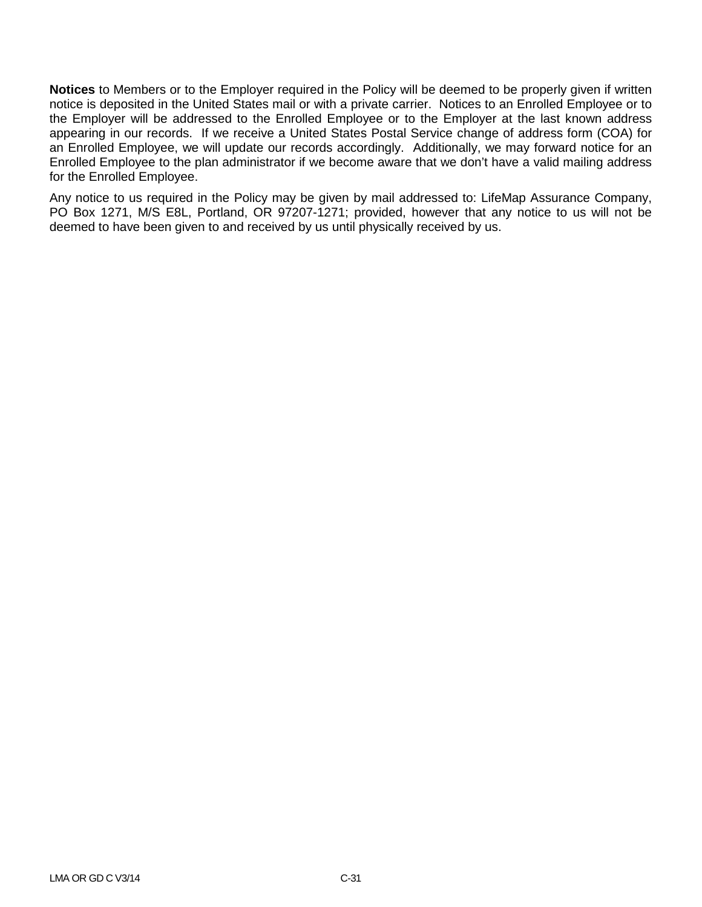**Notices** to Members or to the Employer required in the Policy will be deemed to be properly given if written notice is deposited in the United States mail or with a private carrier. Notices to an Enrolled Employee or to the Employer will be addressed to the Enrolled Employee or to the Employer at the last known address appearing in our records. If we receive a United States Postal Service change of address form (COA) for an Enrolled Employee, we will update our records accordingly. Additionally, we may forward notice for an Enrolled Employee to the plan administrator if we become aware that we don't have a valid mailing address for the Enrolled Employee.

Any notice to us required in the Policy may be given by mail addressed to: LifeMap Assurance Company, PO Box 1271, M/S E8L, Portland, OR 97207-1271; provided, however that any notice to us will not be deemed to have been given to and received by us until physically received by us.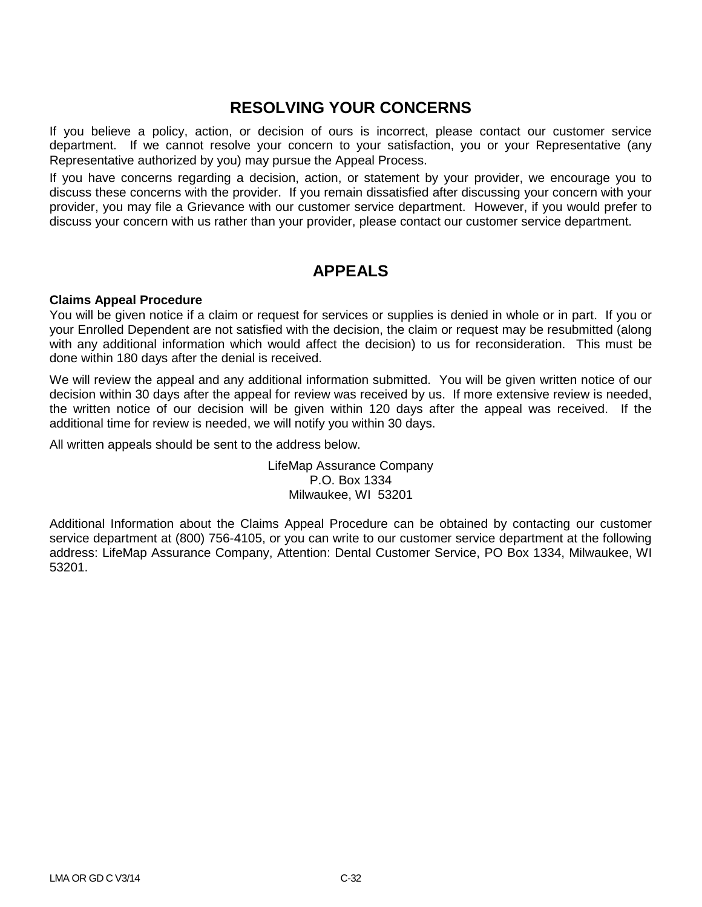## **RESOLVING YOUR CONCERNS**

If you believe a policy, action, or decision of ours is incorrect, please contact our customer service department. If we cannot resolve your concern to your satisfaction, you or your Representative (any Representative authorized by you) may pursue the Appeal Process.

If you have concerns regarding a decision, action, or statement by your provider, we encourage you to discuss these concerns with the provider. If you remain dissatisfied after discussing your concern with your provider, you may file a Grievance with our customer service department. However, if you would prefer to discuss your concern with us rather than your provider, please contact our customer service department.

## **APPEALS**

### **Claims Appeal Procedure**

You will be given notice if a claim or request for services or supplies is denied in whole or in part. If you or your Enrolled Dependent are not satisfied with the decision, the claim or request may be resubmitted (along with any additional information which would affect the decision) to us for reconsideration. This must be done within 180 days after the denial is received.

We will review the appeal and any additional information submitted. You will be given written notice of our decision within 30 days after the appeal for review was received by us. If more extensive review is needed, the written notice of our decision will be given within 120 days after the appeal was received. If the additional time for review is needed, we will notify you within 30 days.

All written appeals should be sent to the address below.

LifeMap Assurance Company P.O. Box 1334 Milwaukee, WI 53201

Additional Information about the Claims Appeal Procedure can be obtained by contacting our customer service department at (800) 756-4105, or you can write to our customer service department at the following address: LifeMap Assurance Company, Attention: Dental Customer Service, PO Box 1334, Milwaukee, WI 53201.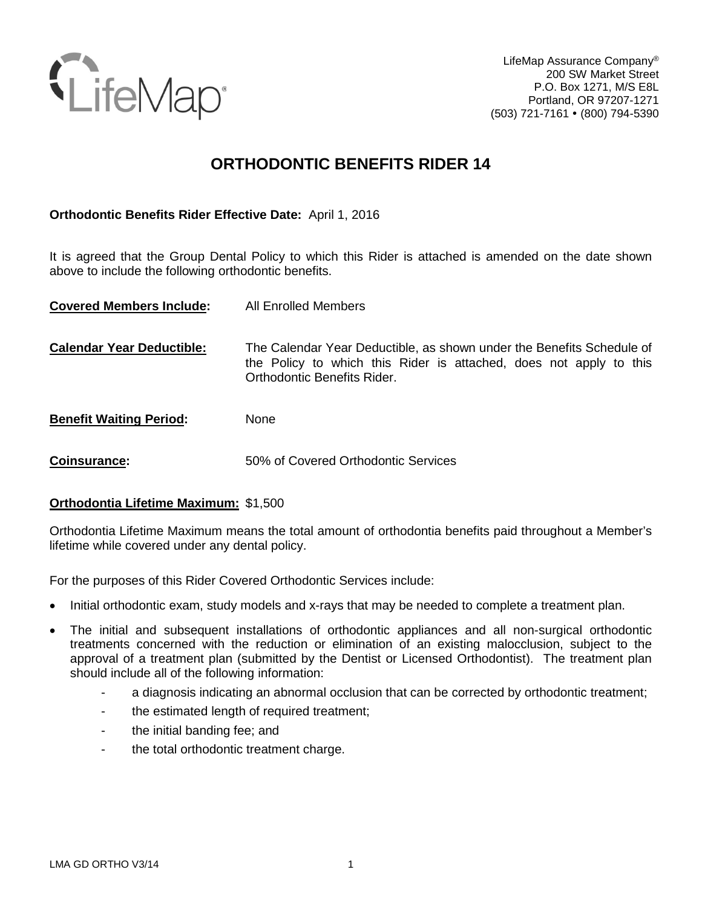

LifeMap Assurance Company® 200 SW Market Street P.O. Box 1271, M/S E8L Portland, OR 97207-1271 (503) 721-7161 (800) 794-5390

## **ORTHODONTIC BENEFITS RIDER 14**

## **Orthodontic Benefits Rider Effective Date:** April 1, 2016

It is agreed that the Group Dental Policy to which this Rider is attached is amended on the date shown above to include the following orthodontic benefits.

| <b>Covered Members Include:</b>  | All Enrolled Members                                                                                                                                                       |
|----------------------------------|----------------------------------------------------------------------------------------------------------------------------------------------------------------------------|
| <b>Calendar Year Deductible:</b> | The Calendar Year Deductible, as shown under the Benefits Schedule of<br>the Policy to which this Rider is attached, does not apply to this<br>Orthodontic Benefits Rider. |
| <b>Benefit Waiting Period:</b>   | <b>None</b>                                                                                                                                                                |
| Coinsurance:                     | 50% of Covered Orthodontic Services                                                                                                                                        |

## **Orthodontia Lifetime Maximum:** \$1,500

Orthodontia Lifetime Maximum means the total amount of orthodontia benefits paid throughout a Member's lifetime while covered under any dental policy.

For the purposes of this Rider Covered Orthodontic Services include:

- Initial orthodontic exam, study models and x-rays that may be needed to complete a treatment plan.
- The initial and subsequent installations of orthodontic appliances and all non-surgical orthodontic treatments concerned with the reduction or elimination of an existing malocclusion, subject to the approval of a treatment plan (submitted by the Dentist or Licensed Orthodontist). The treatment plan should include all of the following information:
	- a diagnosis indicating an abnormal occlusion that can be corrected by orthodontic treatment;
	- the estimated length of required treatment;
	- the initial banding fee; and
	- the total orthodontic treatment charge.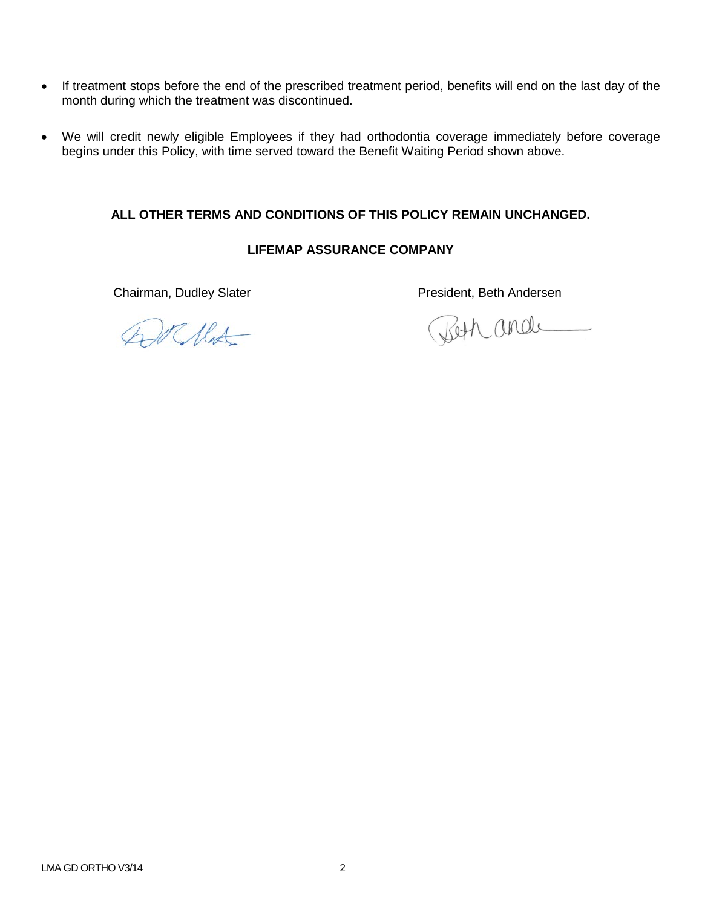- If treatment stops before the end of the prescribed treatment period, benefits will end on the last day of the month during which the treatment was discontinued.
- We will credit newly eligible Employees if they had orthodontia coverage immediately before coverage begins under this Policy, with time served toward the Benefit Waiting Period shown above.

## **ALL OTHER TERMS AND CONDITIONS OF THIS POLICY REMAIN UNCHANGED.**

## **LIFEMAP ASSURANCE COMPANY**

At Mat

Chairman, Dudley Slater **President**, Beth Andersen

Beth and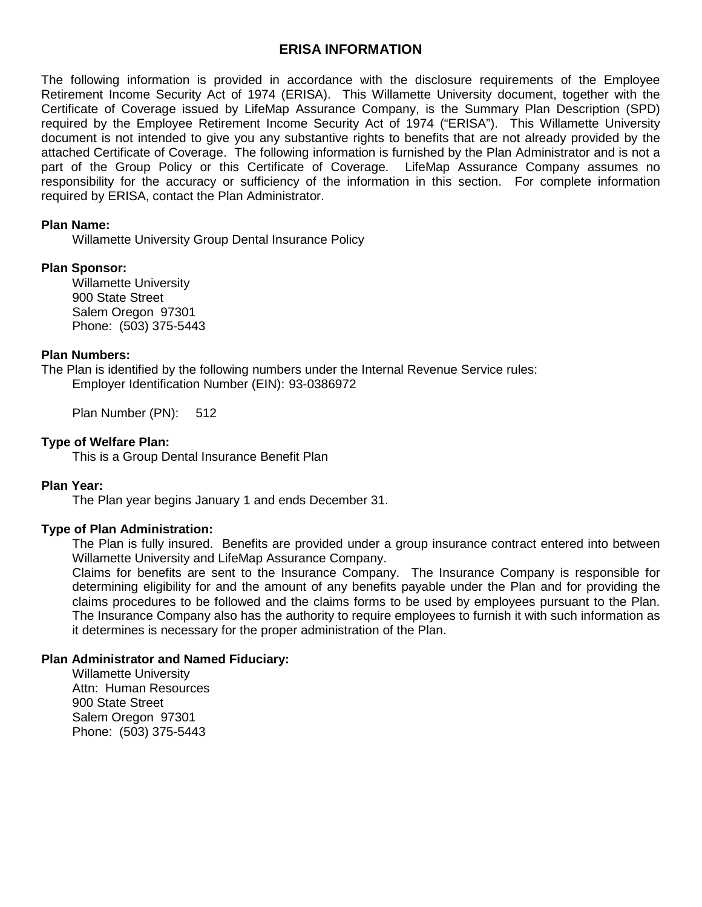## **ERISA INFORMATION**

The following information is provided in accordance with the disclosure requirements of the Employee Retirement Income Security Act of 1974 (ERISA). This Willamette University document, together with the Certificate of Coverage issued by LifeMap Assurance Company, is the Summary Plan Description (SPD) required by the Employee Retirement Income Security Act of 1974 ("ERISA"). This Willamette University document is not intended to give you any substantive rights to benefits that are not already provided by the attached Certificate of Coverage. The following information is furnished by the Plan Administrator and is not a part of the Group Policy or this Certificate of Coverage. LifeMap Assurance Company assumes no responsibility for the accuracy or sufficiency of the information in this section. For complete information required by ERISA, contact the Plan Administrator.

### **Plan Name:**

Willamette University Group Dental Insurance Policy

### **Plan Sponsor:**

Willamette University 900 State Street Salem Oregon 97301 Phone: (503) 375-5443

### **Plan Numbers:**

The Plan is identified by the following numbers under the Internal Revenue Service rules: Employer Identification Number (EIN): 93-0386972

Plan Number (PN): 512

## **Type of Welfare Plan:**

This is a Group Dental Insurance Benefit Plan

## **Plan Year:**

The Plan year begins January 1 and ends December 31.

## **Type of Plan Administration:**

The Plan is fully insured. Benefits are provided under a group insurance contract entered into between Willamette University and LifeMap Assurance Company.

Claims for benefits are sent to the Insurance Company. The Insurance Company is responsible for determining eligibility for and the amount of any benefits payable under the Plan and for providing the claims procedures to be followed and the claims forms to be used by employees pursuant to the Plan. The Insurance Company also has the authority to require employees to furnish it with such information as it determines is necessary for the proper administration of the Plan.

### **Plan Administrator and Named Fiduciary:**

Willamette University Attn: Human Resources 900 State Street Salem Oregon 97301 Phone: (503) 375-5443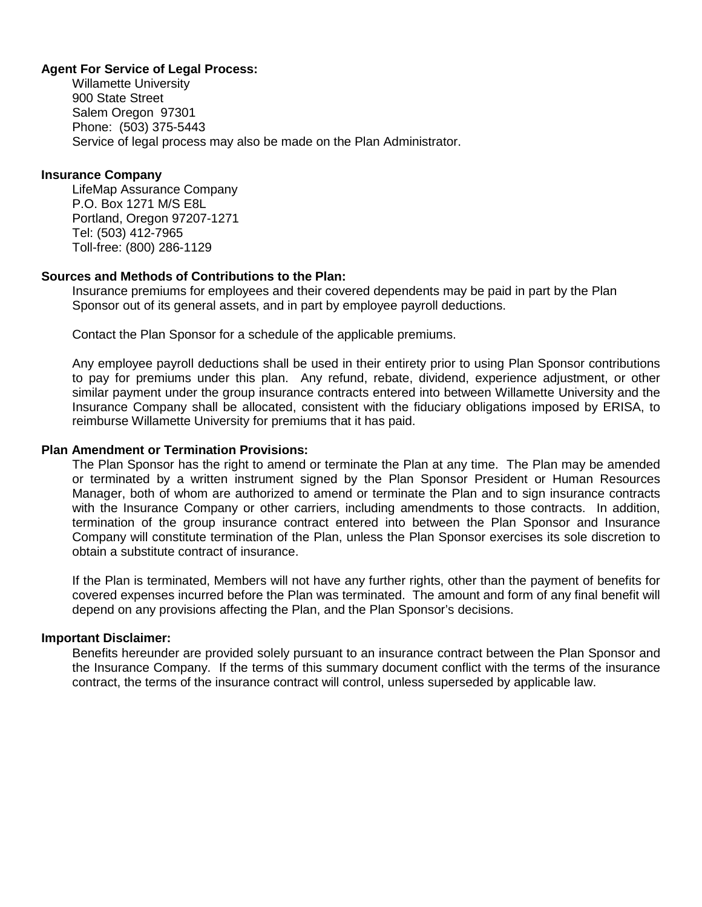## **Agent For Service of Legal Process:**

Willamette University 900 State Street Salem Oregon 97301 Phone: (503) 375-5443 Service of legal process may also be made on the Plan Administrator.

### **Insurance Company**

LifeMap Assurance Company P.O. Box 1271 M/S E8L Portland, Oregon 97207-1271 Tel: (503) 412-7965 Toll-free: (800) 286-1129

### **Sources and Methods of Contributions to the Plan:**

Insurance premiums for employees and their covered dependents may be paid in part by the Plan Sponsor out of its general assets, and in part by employee payroll deductions.

Contact the Plan Sponsor for a schedule of the applicable premiums.

Any employee payroll deductions shall be used in their entirety prior to using Plan Sponsor contributions to pay for premiums under this plan. Any refund, rebate, dividend, experience adjustment, or other similar payment under the group insurance contracts entered into between Willamette University and the Insurance Company shall be allocated, consistent with the fiduciary obligations imposed by ERISA, to reimburse Willamette University for premiums that it has paid.

### **Plan Amendment or Termination Provisions:**

The Plan Sponsor has the right to amend or terminate the Plan at any time. The Plan may be amended or terminated by a written instrument signed by the Plan Sponsor President or Human Resources Manager, both of whom are authorized to amend or terminate the Plan and to sign insurance contracts with the Insurance Company or other carriers, including amendments to those contracts. In addition, termination of the group insurance contract entered into between the Plan Sponsor and Insurance Company will constitute termination of the Plan, unless the Plan Sponsor exercises its sole discretion to obtain a substitute contract of insurance.

If the Plan is terminated, Members will not have any further rights, other than the payment of benefits for covered expenses incurred before the Plan was terminated. The amount and form of any final benefit will depend on any provisions affecting the Plan, and the Plan Sponsor's decisions.

### **Important Disclaimer:**

Benefits hereunder are provided solely pursuant to an insurance contract between the Plan Sponsor and the Insurance Company. If the terms of this summary document conflict with the terms of the insurance contract, the terms of the insurance contract will control, unless superseded by applicable law.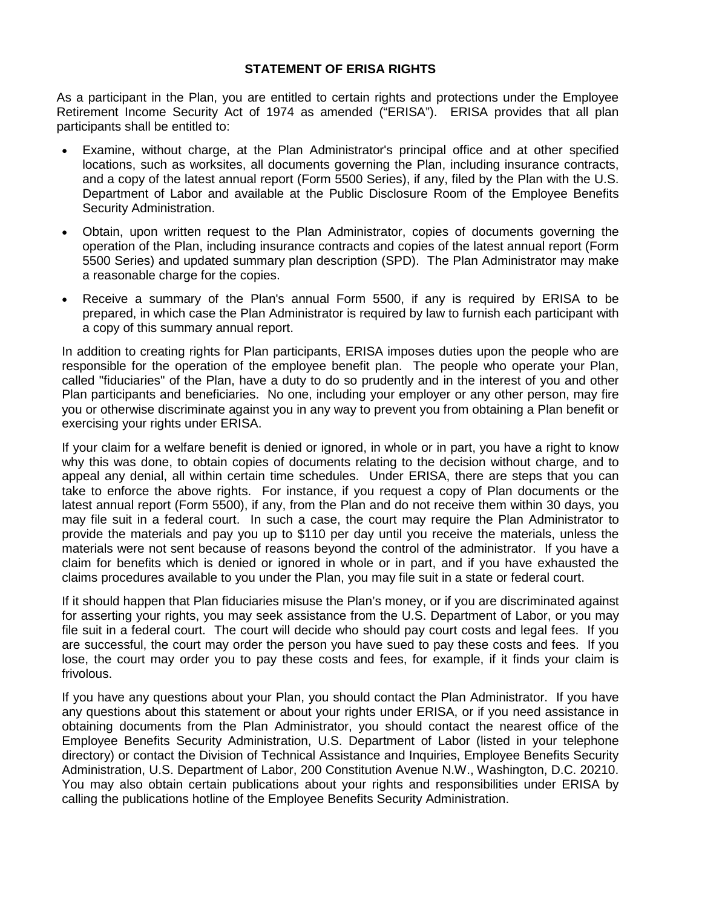### **STATEMENT OF ERISA RIGHTS**

As a participant in the Plan, you are entitled to certain rights and protections under the Employee Retirement Income Security Act of 1974 as amended ("ERISA"). ERISA provides that all plan participants shall be entitled to:

- Examine, without charge, at the Plan Administrator's principal office and at other specified locations, such as worksites, all documents governing the Plan, including insurance contracts, and a copy of the latest annual report (Form 5500 Series), if any, filed by the Plan with the U.S. Department of Labor and available at the Public Disclosure Room of the Employee Benefits Security Administration.
- Obtain, upon written request to the Plan Administrator, copies of documents governing the operation of the Plan, including insurance contracts and copies of the latest annual report (Form 5500 Series) and updated summary plan description (SPD). The Plan Administrator may make a reasonable charge for the copies.
- Receive a summary of the Plan's annual Form 5500, if any is required by ERISA to be prepared, in which case the Plan Administrator is required by law to furnish each participant with a copy of this summary annual report.

In addition to creating rights for Plan participants, ERISA imposes duties upon the people who are responsible for the operation of the employee benefit plan. The people who operate your Plan, called "fiduciaries" of the Plan, have a duty to do so prudently and in the interest of you and other Plan participants and beneficiaries. No one, including your employer or any other person, may fire you or otherwise discriminate against you in any way to prevent you from obtaining a Plan benefit or exercising your rights under ERISA.

If your claim for a welfare benefit is denied or ignored, in whole or in part, you have a right to know why this was done, to obtain copies of documents relating to the decision without charge, and to appeal any denial, all within certain time schedules. Under ERISA, there are steps that you can take to enforce the above rights. For instance, if you request a copy of Plan documents or the latest annual report (Form 5500), if any, from the Plan and do not receive them within 30 days, you may file suit in a federal court. In such a case, the court may require the Plan Administrator to provide the materials and pay you up to \$110 per day until you receive the materials, unless the materials were not sent because of reasons beyond the control of the administrator. If you have a claim for benefits which is denied or ignored in whole or in part, and if you have exhausted the claims procedures available to you under the Plan, you may file suit in a state or federal court.

If it should happen that Plan fiduciaries misuse the Plan's money, or if you are discriminated against for asserting your rights, you may seek assistance from the U.S. Department of Labor, or you may file suit in a federal court. The court will decide who should pay court costs and legal fees. If you are successful, the court may order the person you have sued to pay these costs and fees. If you lose, the court may order you to pay these costs and fees, for example, if it finds your claim is frivolous.

If you have any questions about your Plan, you should contact the Plan Administrator. If you have any questions about this statement or about your rights under ERISA, or if you need assistance in obtaining documents from the Plan Administrator, you should contact the nearest office of the Employee Benefits Security Administration, U.S. Department of Labor (listed in your telephone directory) or contact the Division of Technical Assistance and Inquiries, Employee Benefits Security Administration, U.S. Department of Labor, 200 Constitution Avenue N.W., Washington, D.C. 20210. You may also obtain certain publications about your rights and responsibilities under ERISA by calling the publications hotline of the Employee Benefits Security Administration.